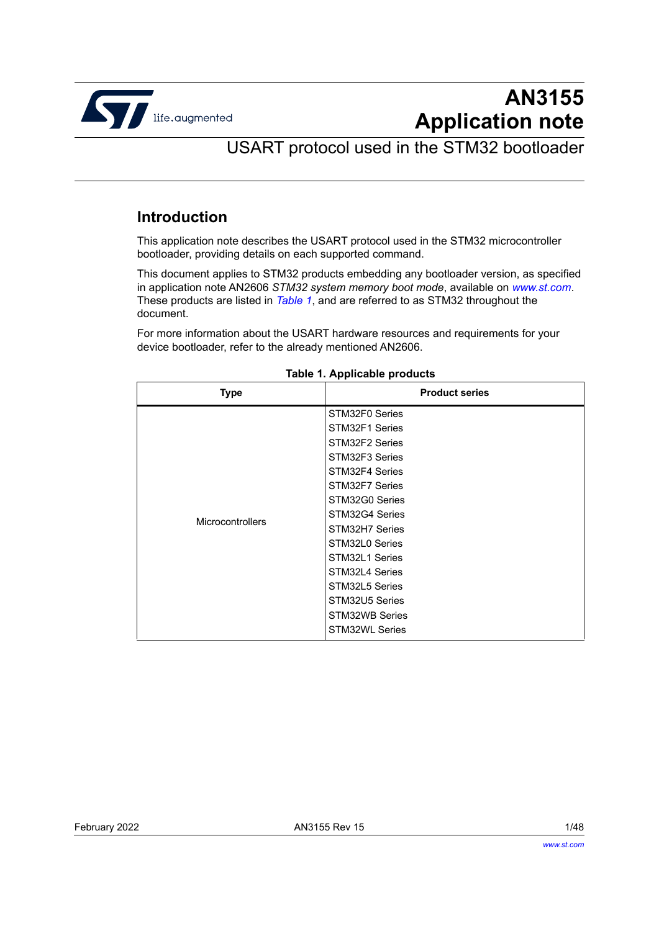

# **AN3155 Application note**

## USART protocol used in the STM32 bootloader

## <span id="page-0-1"></span>**Introduction**

This application note describes the USART protocol used in the STM32 microcontroller bootloader, providing details on each supported command.

This document applies to STM32 products embedding any bootloader version, as specified in application note AN2606 *STM32 system memory boot mode*, available on *www.st.com*. These products are listed in *[Table](#page-0-0) 1*, and are referred to as STM32 throughout the document.

For more information about the USART hardware resources and requirements for your device bootloader, refer to the already mentioned AN2606.

<span id="page-0-0"></span>

| STM32F0 Series<br>STM32F1 Series<br>STM32F2 Series<br>STM32F3 Series<br>STM32F4 Series<br>STM32F7 Series<br>STM32G0 Series<br>STM32G4 Series<br><b>Microcontrollers</b><br>STM32H7 Series<br>STM32L0 Series<br>STM32L1 Series<br>STM32L4 Series<br>STM32L5 Series<br>STM32U5 Series<br>STM32WB Series | Type | <b>Product series</b> |
|-------------------------------------------------------------------------------------------------------------------------------------------------------------------------------------------------------------------------------------------------------------------------------------------------------|------|-----------------------|
|                                                                                                                                                                                                                                                                                                       |      | <b>STM32WL Series</b> |

#### **Table 1. Applicable products**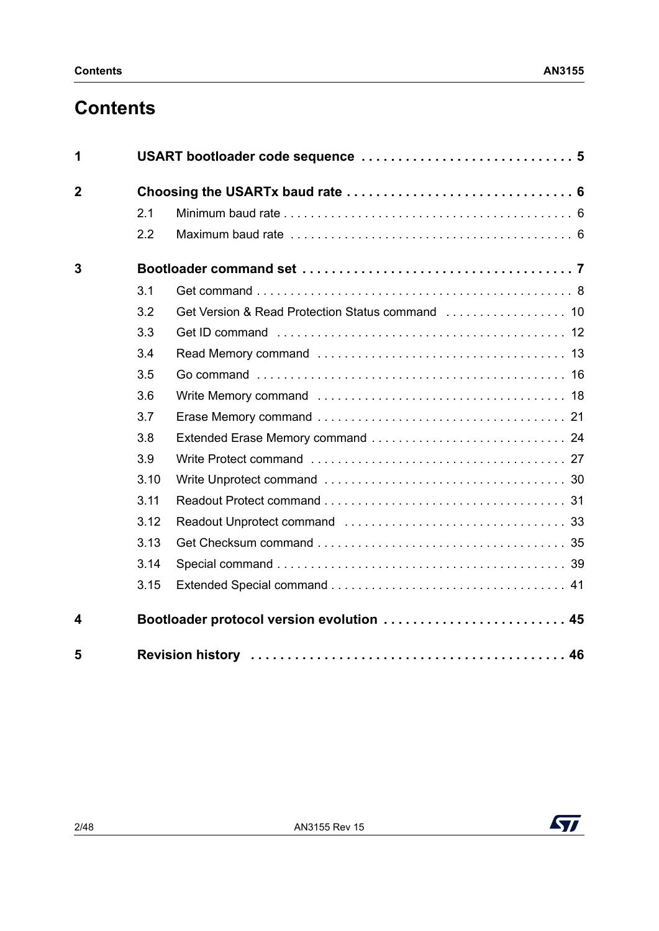# **Contents**

| 1              |      |                                           |
|----------------|------|-------------------------------------------|
| $\overline{2}$ |      |                                           |
|                | 2.1  |                                           |
|                | 2.2  |                                           |
| 3              |      |                                           |
|                | 3.1  |                                           |
|                | 3.2  |                                           |
|                | 3.3  |                                           |
|                | 3.4  |                                           |
|                | 3.5  |                                           |
|                | 3.6  |                                           |
|                | 3.7  |                                           |
|                | 3.8  |                                           |
|                | 3.9  |                                           |
|                | 3.10 |                                           |
|                | 3.11 |                                           |
|                | 3.12 |                                           |
|                | 3.13 |                                           |
|                | 3.14 |                                           |
|                | 3.15 |                                           |
| 4              |      | Bootloader protocol version evolution  45 |
| 5              |      |                                           |

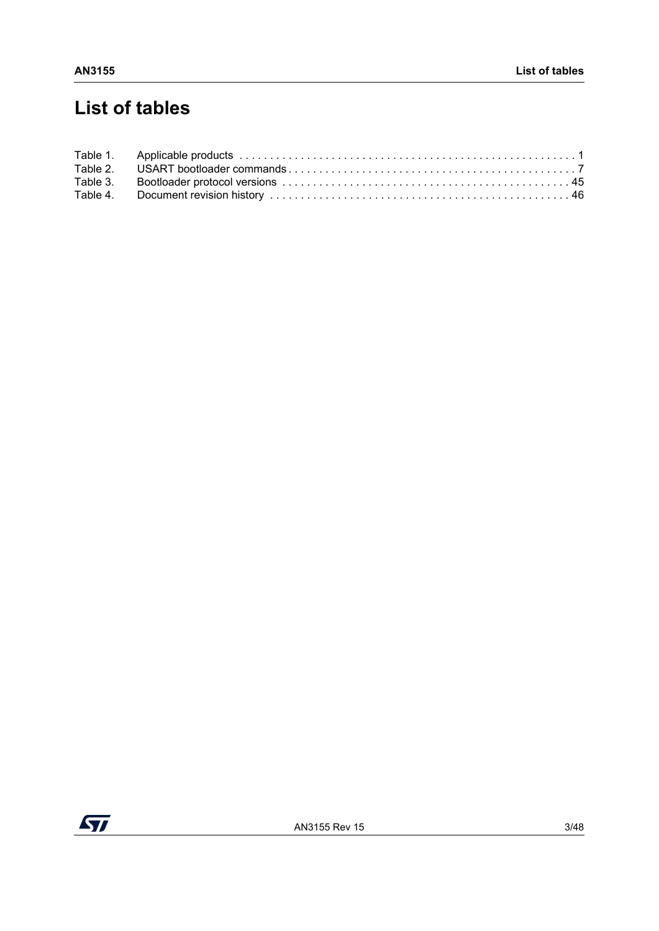# **List of tables**

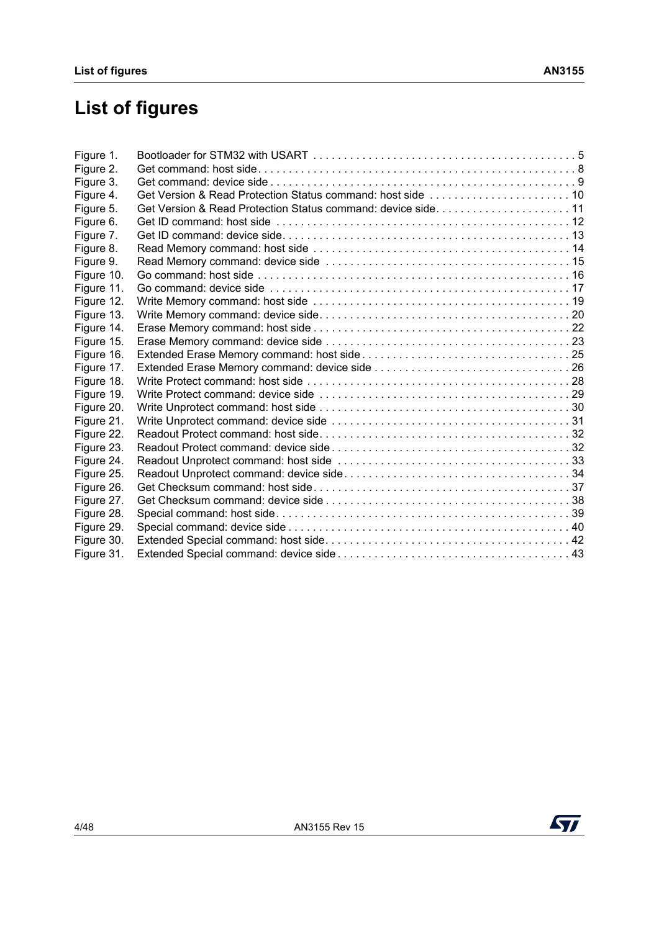# **List of figures**

| Figure 1.  |                                                             |  |
|------------|-------------------------------------------------------------|--|
| Figure 2.  |                                                             |  |
| Figure 3.  |                                                             |  |
| Figure 4.  |                                                             |  |
| Figure 5.  | Get Version & Read Protection Status command: device side11 |  |
| Figure 6.  |                                                             |  |
| Figure 7.  |                                                             |  |
| Figure 8.  |                                                             |  |
| Figure 9.  |                                                             |  |
| Figure 10. |                                                             |  |
| Figure 11. |                                                             |  |
| Figure 12. |                                                             |  |
| Figure 13. |                                                             |  |
| Figure 14. |                                                             |  |
| Figure 15. |                                                             |  |
| Figure 16. |                                                             |  |
| Figure 17. |                                                             |  |
| Figure 18. |                                                             |  |
| Figure 19. |                                                             |  |
| Figure 20. |                                                             |  |
| Figure 21. |                                                             |  |
| Figure 22. |                                                             |  |
| Figure 23. |                                                             |  |
| Figure 24. |                                                             |  |
| Figure 25. |                                                             |  |
| Figure 26. |                                                             |  |
| Figure 27. |                                                             |  |
| Figure 28. |                                                             |  |
| Figure 29. |                                                             |  |
| Figure 30. |                                                             |  |
| Figure 31. |                                                             |  |

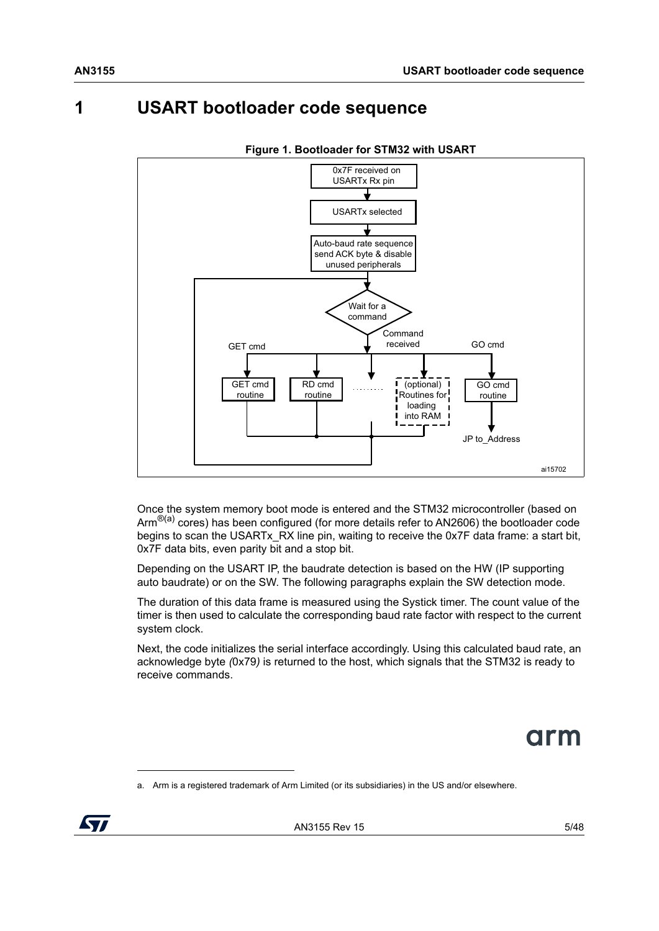## <span id="page-4-0"></span>**1 USART bootloader code sequence**

<span id="page-4-1"></span>

**Figure 1. Bootloader for STM32 with USART**

Once the system memory boot mode is entered and the STM32 microcontroller (based on Arm<sup>®(a)</sup> cores) has been configured (for more details refer to AN2606) the bootloader code begins to scan the USARTx\_RX line pin, waiting to receive the 0x7F data frame: a start bit, 0x7F data bits, even parity bit and a stop bit.

Depending on the USART IP, the baudrate detection is based on the HW (IP supporting auto baudrate) or on the SW. The following paragraphs explain the SW detection mode.

The duration of this data frame is measured using the Systick timer. The count value of the timer is then used to calculate the corresponding baud rate factor with respect to the current system clock.

Next, the code initializes the serial interface accordingly. Using this calculated baud rate, an acknowledge byte *(*0x79*)* is returned to the host, which signals that the STM32 is ready to receive commands.



a. Arm is a registered trademark of Arm Limited (or its subsidiaries) in the US and/or elsewhere.

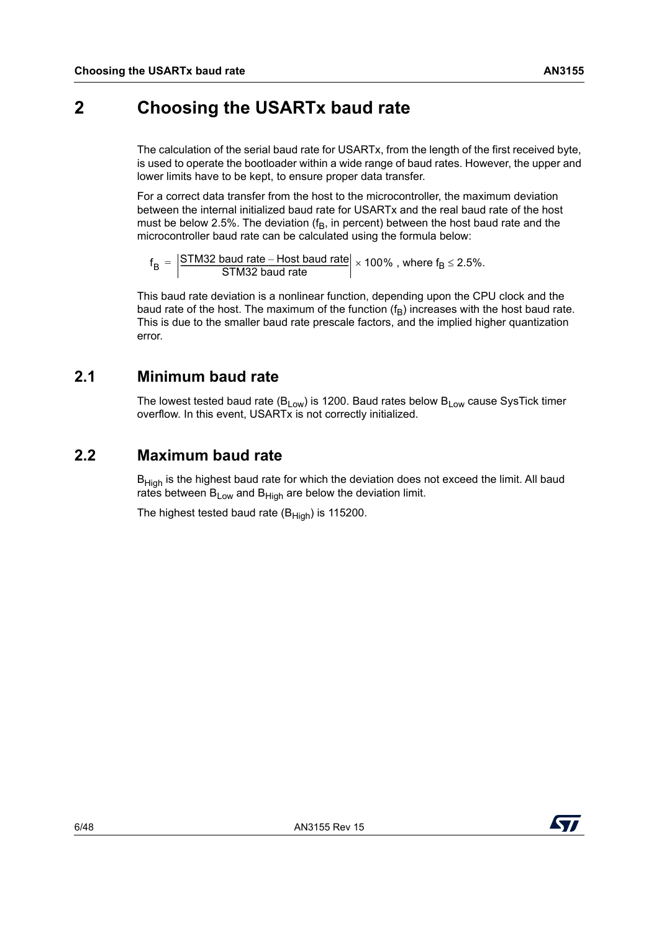## <span id="page-5-0"></span>**2 Choosing the USARTx baud rate**

The calculation of the serial baud rate for USARTx, from the length of the first received byte, is used to operate the bootloader within a wide range of baud rates. However, the upper and lower limits have to be kept, to ensure proper data transfer.

For a correct data transfer from the host to the microcontroller, the maximum deviation between the internal initialized baud rate for USARTx and the real baud rate of the host must be below 2.5%. The deviation ( $f_B$ , in percent) between the host baud rate and the microcontroller baud rate can be calculated using the formula below:

 $f_B = \left| \frac{\text{STM32 band rate} - \text{Host bad rate}}{\text{STM32 bad rate}} \right| \times 100\%$  , where  $f_B \le 2.5\%$ .

This baud rate deviation is a nonlinear function, depending upon the CPU clock and the baud rate of the host. The maximum of the function  $(f_B)$  increases with the host baud rate. This is due to the smaller baud rate prescale factors, and the implied higher quantization error.

### <span id="page-5-1"></span>**2.1 Minimum baud rate**

The lowest tested baud rate ( $B_{Low}$ ) is 1200. Baud rates below  $B_{Low}$  cause SysTick timer overflow. In this event, USARTx is not correctly initialized.

### <span id="page-5-2"></span>**2.2 Maximum baud rate**

 $B<sub>High</sub>$  is the highest baud rate for which the deviation does not exceed the limit. All baud rates between  $B_{Low}$  and  $B_{Hich}$  are below the deviation limit.

The highest tested baud rate  $(B_{High})$  is 115200.

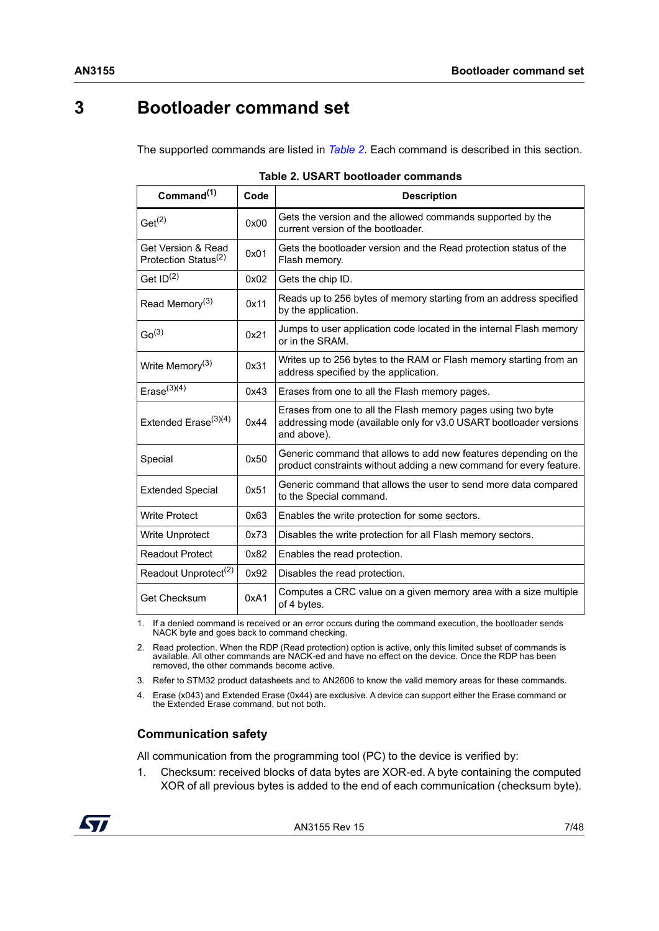## <span id="page-6-0"></span>**3 Bootloader command set**

The supported commands are listed in *[Table](#page-6-1) 2*. Each command is described in this section.

<span id="page-6-1"></span>

| Command <sup>(1)</sup>                                 | Code | <b>Description</b>                                                                                                                                |
|--------------------------------------------------------|------|---------------------------------------------------------------------------------------------------------------------------------------------------|
| $Get^{(2)}$                                            | 0x00 | Gets the version and the allowed commands supported by the<br>current version of the bootloader.                                                  |
| Get Version & Read<br>Protection Status <sup>(2)</sup> | 0x01 | Gets the bootloader version and the Read protection status of the<br>Flash memory.                                                                |
| Get ID <sup>(2)</sup>                                  | 0x02 | Gets the chip ID.                                                                                                                                 |
| Read Memory <sup>(3)</sup>                             | 0x11 | Reads up to 256 bytes of memory starting from an address specified<br>by the application.                                                         |
| Go <sup>(3)</sup>                                      | 0x21 | Jumps to user application code located in the internal Flash memory<br>or in the SRAM.                                                            |
| Write Memory <sup>(3)</sup>                            | 0x31 | Writes up to 256 bytes to the RAM or Flash memory starting from an<br>address specified by the application.                                       |
| Erase <sup>(3)(4)</sup>                                | 0x43 | Erases from one to all the Flash memory pages.                                                                                                    |
| Extended Erase $(3)(4)$                                | 0x44 | Erases from one to all the Flash memory pages using two byte<br>addressing mode (available only for v3.0 USART bootloader versions<br>and above). |
| Special                                                | 0x50 | Generic command that allows to add new features depending on the<br>product constraints without adding a new command for every feature.           |
| <b>Extended Special</b>                                | 0x51 | Generic command that allows the user to send more data compared<br>to the Special command.                                                        |
| <b>Write Protect</b>                                   | 0x63 | Enables the write protection for some sectors.                                                                                                    |
| <b>Write Unprotect</b>                                 | 0x73 | Disables the write protection for all Flash memory sectors.                                                                                       |
| <b>Readout Protect</b>                                 | 0x82 | Enables the read protection.                                                                                                                      |
| Readout Unprotect <sup>(2)</sup>                       | 0x92 | Disables the read protection.                                                                                                                     |
| Get Checksum                                           | 0xA1 | Computes a CRC value on a given memory area with a size multiple<br>of 4 bytes.                                                                   |

1. If a denied command is received or an error occurs during the command execution, the bootloader sends NACK byte and goes back to command checking.

2. Read protection. When the RDP (Read protection) option is active, only this limited subset of commands is available. All other commands are NACK-ed and have no effect on the device. Once the RDP has been removed, the other commands become active.

3. Refer to STM32 product datasheets and to AN2606 to know the valid memory areas for these commands.

4. Erase (x043) and Extended Erase (0x44) are exclusive. A device can support either the Erase command or the Extended Erase command, but not both.

#### **Communication safety**

All communication from the programming tool (PC) to the device is verified by:

1. Checksum: received blocks of data bytes are XOR-ed. A byte containing the computed XOR of all previous bytes is added to the end of each communication (checksum byte).

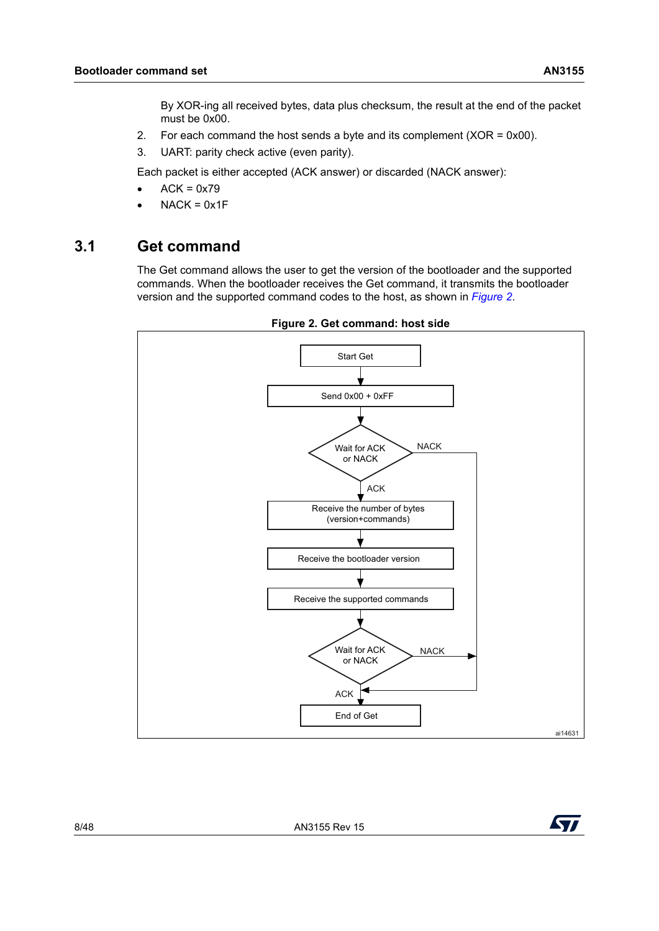By XOR-ing all received bytes, data plus checksum, the result at the end of the packet must be 0x00.

- 2. For each command the host sends a byte and its complement (XOR = 0x00).
- 3. UART: parity check active (even parity).

Each packet is either accepted (ACK answer) or discarded (NACK answer):

- $ACK = 0x79$
- $NACK = 0x1F$

#### <span id="page-7-0"></span>**3.1 Get command**

The Get command allows the user to get the version of the bootloader and the supported commands. When the bootloader receives the Get command, it transmits the bootloader version and the supported command codes to the host, as shown in *[Figure](#page-7-1) 2*.

<span id="page-7-1"></span>

**Figure 2. Get command: host side**

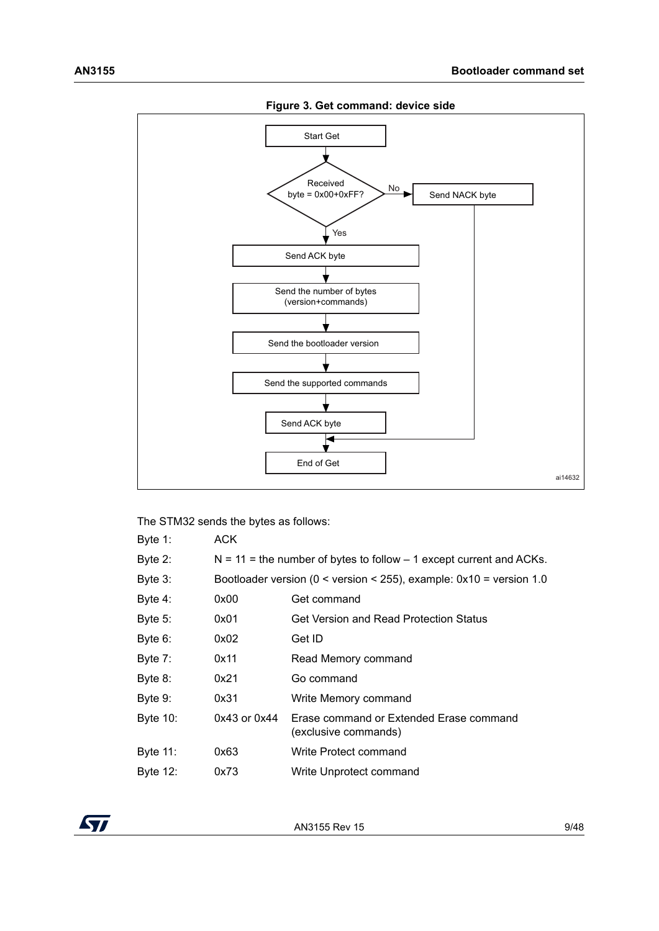<span id="page-8-0"></span>

The STM32 sends the bytes as follows: Byte 1: ACK Byte 2:  $N = 11 =$  the number of bytes to follow  $-1$  except current and ACKs. Byte 3: Bootloader version (0 < version < 255), example: 0x10 = version 1.0 Byte 4: 0x00 Get command Byte 5: 0x01 Get Version and Read Protection Status Byte 6: 0x02 Get ID Byte 7: 0x11 Read Memory command Byte 8: 0x21 Go command Byte 9: 0x31 Write Memory command Byte 10: 0x43 or 0x44 Erase command or Extended Erase command (exclusive commands) Byte 11: 0x63 Write Protect command Byte 12: 0x73 Write Unprotect command

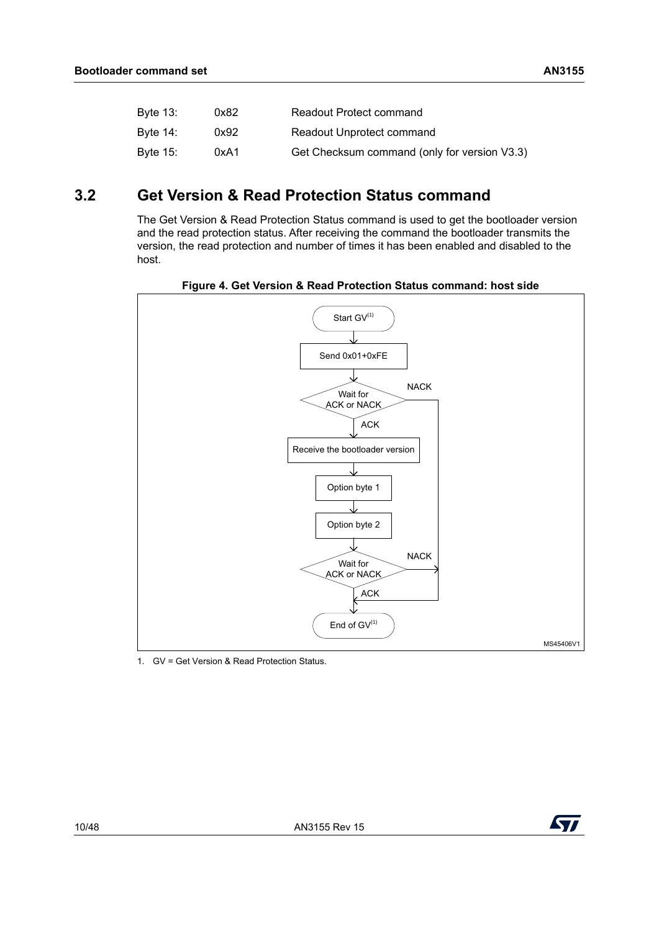| Byte 13: | 0x82 | Readout Protect command                      |
|----------|------|----------------------------------------------|
| Byte 14: | 0x92 | Readout Unprotect command                    |
| Byte 15: | 0xA1 | Get Checksum command (only for version V3.3) |

### <span id="page-9-0"></span>**3.2 Get Version & Read Protection Status command**

The Get Version & Read Protection Status command is used to get the bootloader version and the read protection status. After receiving the command the bootloader transmits the version, the read protection and number of times it has been enabled and disabled to the host.

<span id="page-9-1"></span>

**Figure 4. Get Version & Read Protection Status command: host side**

1. GV = Get Version & Read Protection Status.

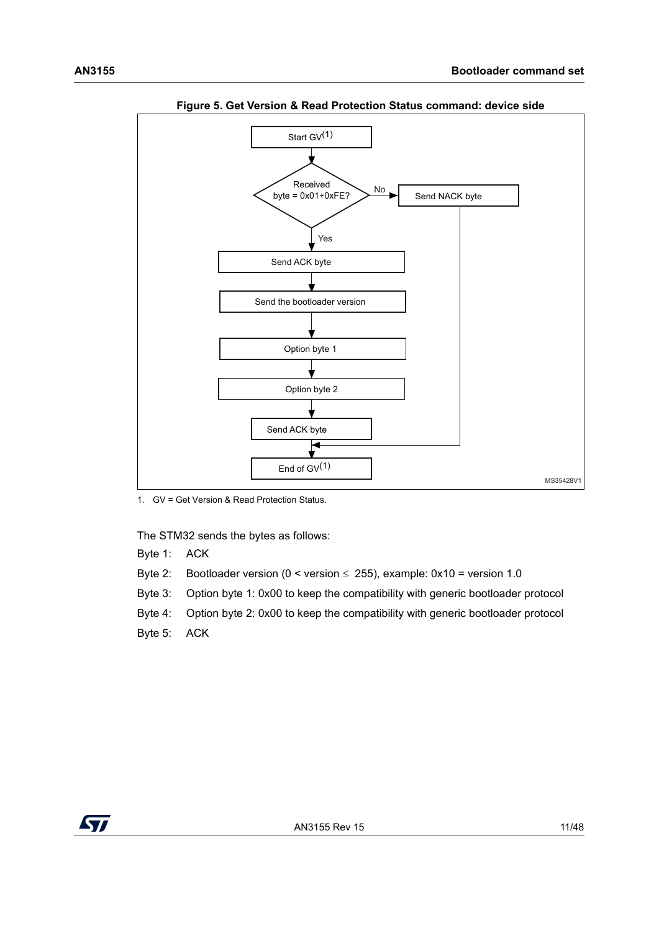<span id="page-10-0"></span>

**Figure 5. Get Version & Read Protection Status command: device side**

1. GV = Get Version & Read Protection Status.

The STM32 sends the bytes as follows:

Byte 1: ACK

- Byte 2: Bootloader version ( $0 <$  version  $\leq$  255), example: 0x10 = version 1.0
- Byte 3: Option byte 1: 0x00 to keep the compatibility with generic bootloader protocol
- Byte 4: Option byte 2: 0x00 to keep the compatibility with generic bootloader protocol
- Byte 5: ACK

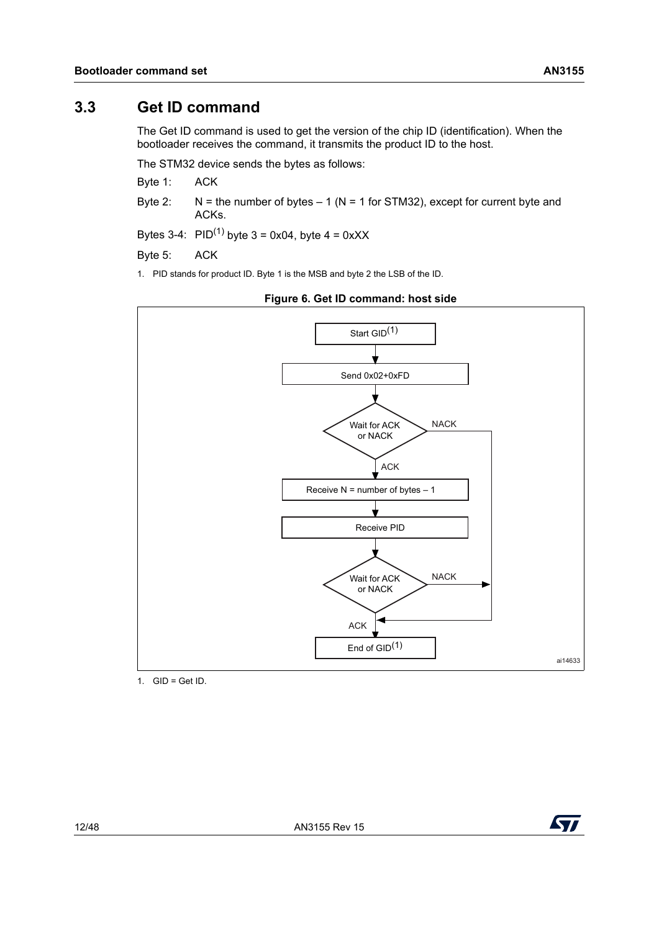#### <span id="page-11-0"></span>**3.3 Get ID command**

The Get ID command is used to get the version of the chip ID (identification). When the bootloader receives the command, it transmits the product ID to the host.

The STM32 device sends the bytes as follows:

Byte 1: ACK

Byte 2:  $N =$  the number of bytes  $- 1$  (N = 1 for STM32), except for current byte and ACKs.

Bytes 3-4:  $PID^{(1)}$  byte 3 = 0x04, byte 4 = 0xXX

Byte 5: ACK

1. PID stands for product ID. Byte 1 is the MSB and byte 2 the LSB of the ID.

<span id="page-11-1"></span>

**Figure 6. Get ID command: host side**

1.  $GID = Get ID$ .

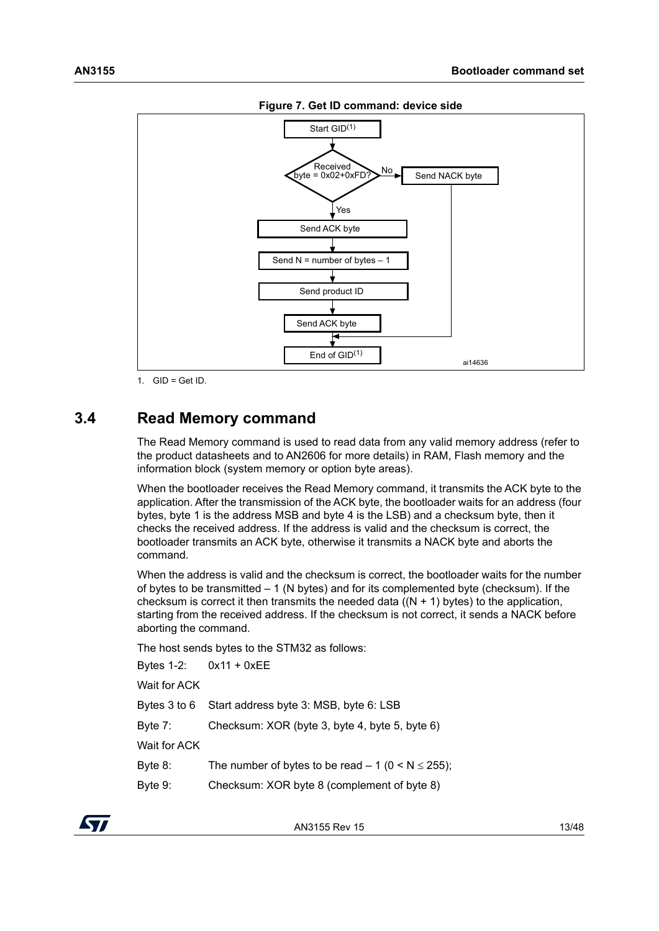<span id="page-12-1"></span>

**Figure 7. Get ID command: device side**

1.  $GID = Get ID$ .

#### <span id="page-12-0"></span>**3.4 Read Memory command**

The Read Memory command is used to read data from any valid memory address (refer to the product datasheets and to AN2606 for more details) in RAM, Flash memory and the information block (system memory or option byte areas).

When the bootloader receives the Read Memory command, it transmits the ACK byte to the application. After the transmission of the ACK byte, the bootloader waits for an address (four bytes, byte 1 is the address MSB and byte 4 is the LSB) and a checksum byte, then it checks the received address. If the address is valid and the checksum is correct, the bootloader transmits an ACK byte, otherwise it transmits a NACK byte and aborts the command.

When the address is valid and the checksum is correct, the bootloader waits for the number of bytes to be transmitted – 1 (N bytes) and for its complemented byte (checksum). If the checksum is correct it then transmits the needed data  $((N + 1)$  bytes) to the application. starting from the received address. If the checksum is not correct, it sends a NACK before aborting the command.

The host sends bytes to the STM32 as follows:

|              | Bytes $1-2$ : $0x11 + 0xEE$                            |
|--------------|--------------------------------------------------------|
| Wait for ACK |                                                        |
|              | Bytes 3 to 6 Start address byte 3: MSB, byte 6: LSB    |
| Byte 7:      | Checksum: XOR (byte 3, byte 4, byte 5, byte 6)         |
| Wait for ACK |                                                        |
| Byte 8:      | The number of bytes to be read $-1$ (0 < N $\le$ 255); |
| Byte 9:      | Checksum: XOR byte 8 (complement of byte 8)            |
|              |                                                        |

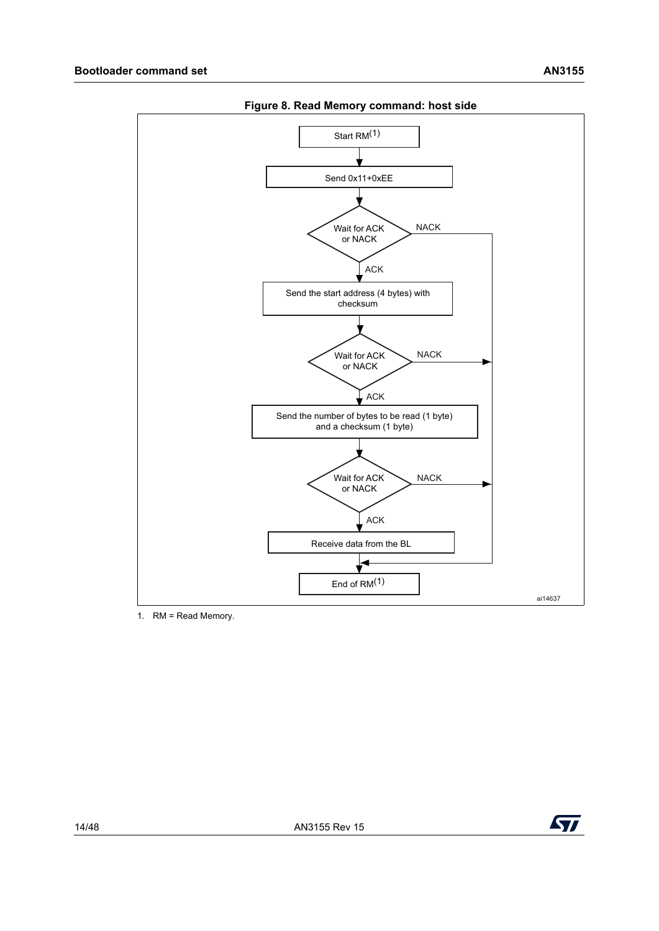<span id="page-13-0"></span>

**Figure 8. Read Memory command: host side**

1. RM = Read Memory.

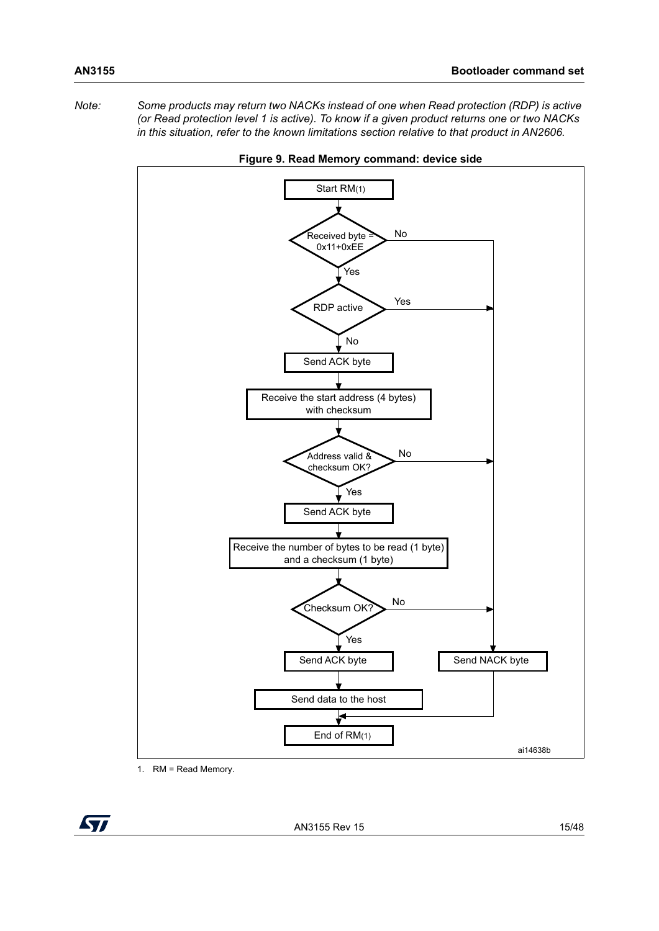*Note: Some products may return two NACKs instead of one when Read protection (RDP) is active (or Read protection level 1 is active). To know if a given product returns one or two NACKs in this situation, refer to the known limitations section relative to that product in AN2606.*

<span id="page-14-0"></span>



1. RM = Read Memory.

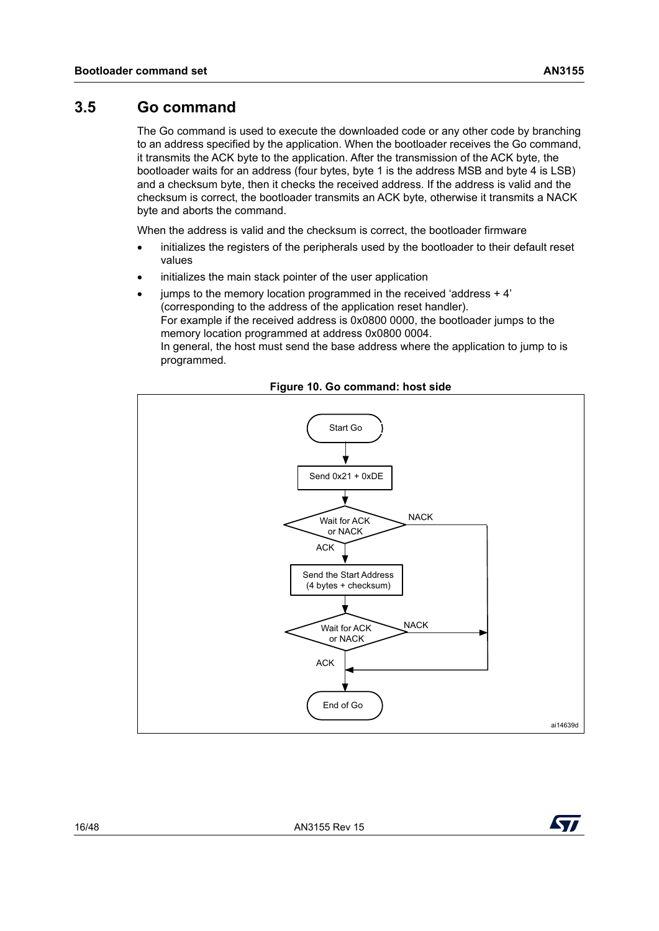<span id="page-15-0"></span>The Go command is used to execute the downloaded code or any other code by branching to an address specified by the application. When the bootloader receives the Go command, it transmits the ACK byte to the application. After the transmission of the ACK byte, the bootloader waits for an address (four bytes, byte 1 is the address MSB and byte 4 is LSB) and a checksum byte, then it checks the received address. If the address is valid and the checksum is correct, the bootloader transmits an ACK byte, otherwise it transmits a NACK byte and aborts the command.

When the address is valid and the checksum is correct, the bootloader firmware

- initializes the registers of the peripherals used by the bootloader to their default reset values
- initializes the main stack pointer of the user application
- jumps to the memory location programmed in the received 'address + 4' (corresponding to the address of the application reset handler). For example if the received address is 0x0800 0000, the bootloader jumps to the memory location programmed at address 0x0800 0004. In general, the host must send the base address where the application to jump to is programmed.

<span id="page-15-1"></span>

#### **Figure 10. Go command: host side**

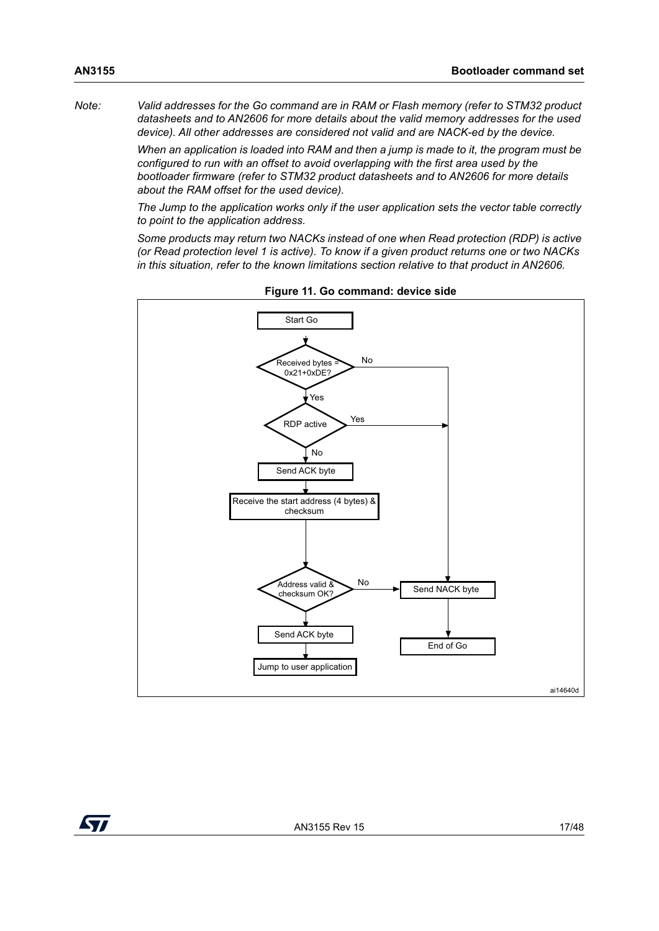*Note: Valid addresses for the Go command are in RAM or Flash memory (refer to STM32 product datasheets and to AN2606 for more details about the valid memory addresses for the used device). All other addresses are considered not valid and are NACK-ed by the device.*

> *When an application is loaded into RAM and then a jump is made to it, the program must be configured to run with an offset to avoid overlapping with the first area used by the bootloader firmware (refer to STM32 product datasheets and to AN2606 for more details about the RAM offset for the used device).*

> *The Jump to the application works only if the user application sets the vector table correctly to point to the application address.*

> *Some products may return two NACKs instead of one when Read protection (RDP) is active (or Read protection level 1 is active). To know if a given product returns one or two NACKs in this situation, refer to the known limitations section relative to that product in AN2606.*

<span id="page-16-0"></span>

**Figure 11. Go command: device side**

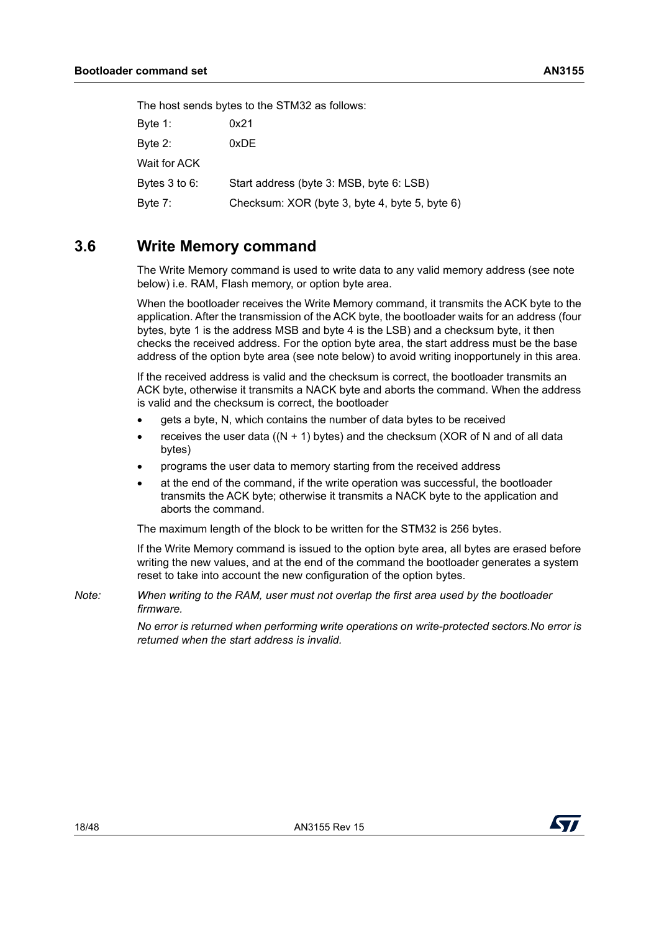|               | The host sends bytes to the STM32 as follows:  |
|---------------|------------------------------------------------|
| Byte 1:       | 0x21                                           |
| Byte 2:       | 0xDE                                           |
| Wait for ACK  |                                                |
| Bytes 3 to 6: | Start address (byte 3: MSB, byte 6: LSB)       |
| Byte 7:       | Checksum: XOR (byte 3, byte 4, byte 5, byte 6) |

#### <span id="page-17-0"></span>**3.6 Write Memory command**

The Write Memory command is used to write data to any valid memory address (see note below) i.e. RAM, Flash memory, or option byte area.

When the bootloader receives the Write Memory command, it transmits the ACK byte to the application. After the transmission of the ACK byte, the bootloader waits for an address (four bytes, byte 1 is the address MSB and byte 4 is the LSB) and a checksum byte, it then checks the received address. For the option byte area, the start address must be the base address of the option byte area (see note below) to avoid writing inopportunely in this area.

If the received address is valid and the checksum is correct, the bootloader transmits an ACK byte, otherwise it transmits a NACK byte and aborts the command. When the address is valid and the checksum is correct, the bootloader

- gets a byte, N, which contains the number of data bytes to be received
- receives the user data ( $(N + 1)$  bytes) and the checksum (XOR of N and of all data bytes)
- programs the user data to memory starting from the received address
- at the end of the command, if the write operation was successful, the bootloader transmits the ACK byte; otherwise it transmits a NACK byte to the application and aborts the command.

The maximum length of the block to be written for the STM32 is 256 bytes.

If the Write Memory command is issued to the option byte area, all bytes are erased before writing the new values, and at the end of the command the bootloader generates a system reset to take into account the new configuration of the option bytes.

*Note: When writing to the RAM, user must not overlap the first area used by the bootloader firmware.*

> *No error is returned when performing write operations on write-protected sectors.No error is returned when the start address is invalid.*

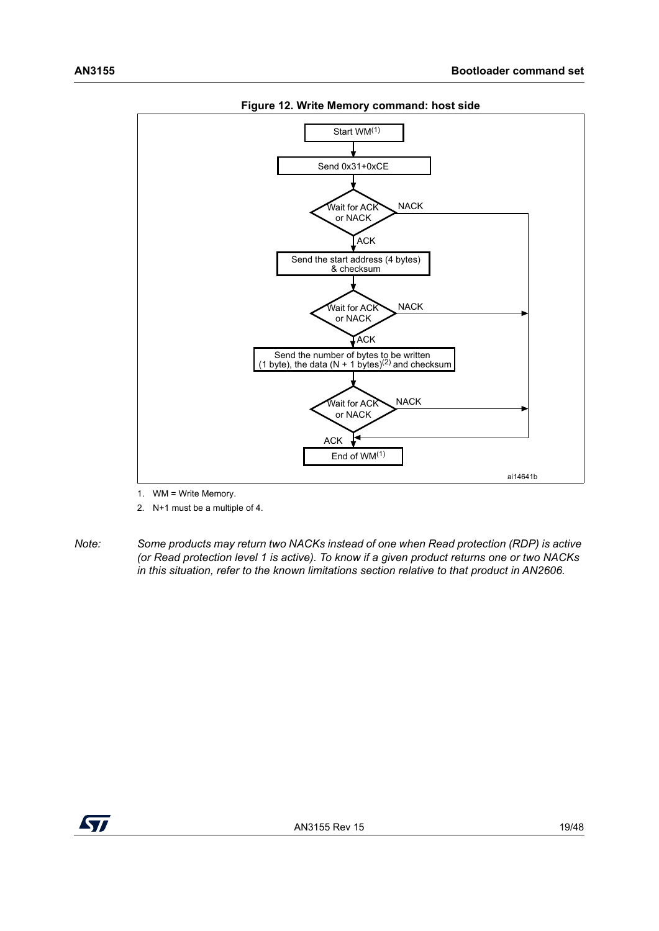<span id="page-18-0"></span>

**Figure 12. Write Memory command: host side**

- 1. WM = Write Memory.
- 2. N+1 must be a multiple of 4.
- *Note: Some products may return two NACKs instead of one when Read protection (RDP) is active (or Read protection level 1 is active). To know if a given product returns one or two NACKs in this situation, refer to the known limitations section relative to that product in AN2606.*

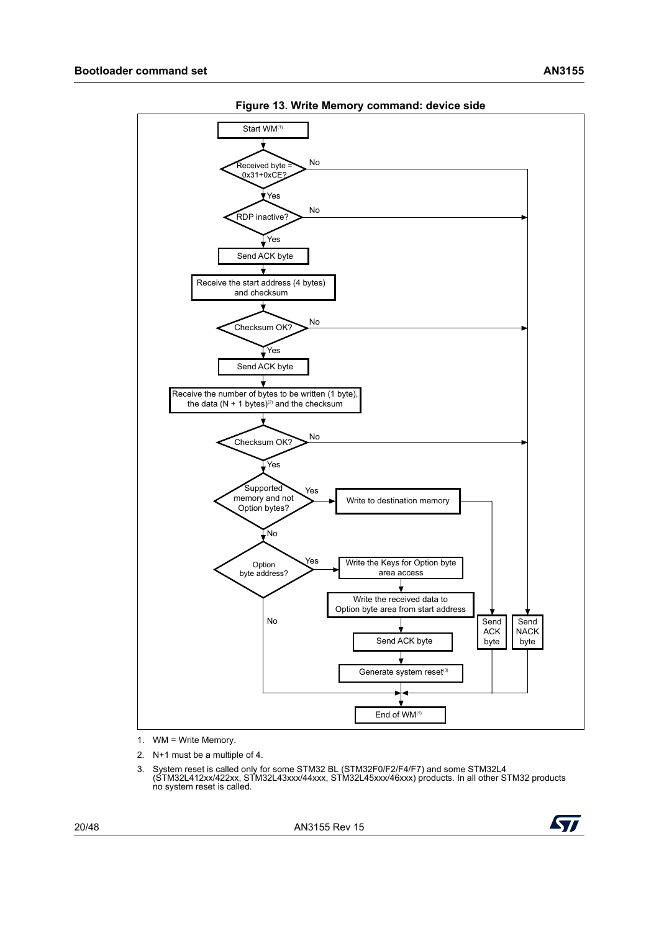<span id="page-19-0"></span>

**Figure 13. Write Memory command: device side**

- 1. WM = Write Memory.
- 2. N+1 must be a multiple of 4.
- 3. System reset is called only for some STM32 BL (STM32F0/F2/F4/F7) and some STM32L4 (STM32L412xx/422xx, STM32L43xxx/44xxx, STM32L45xxx/46xxx) products. In all other STM32 products no system reset is called.

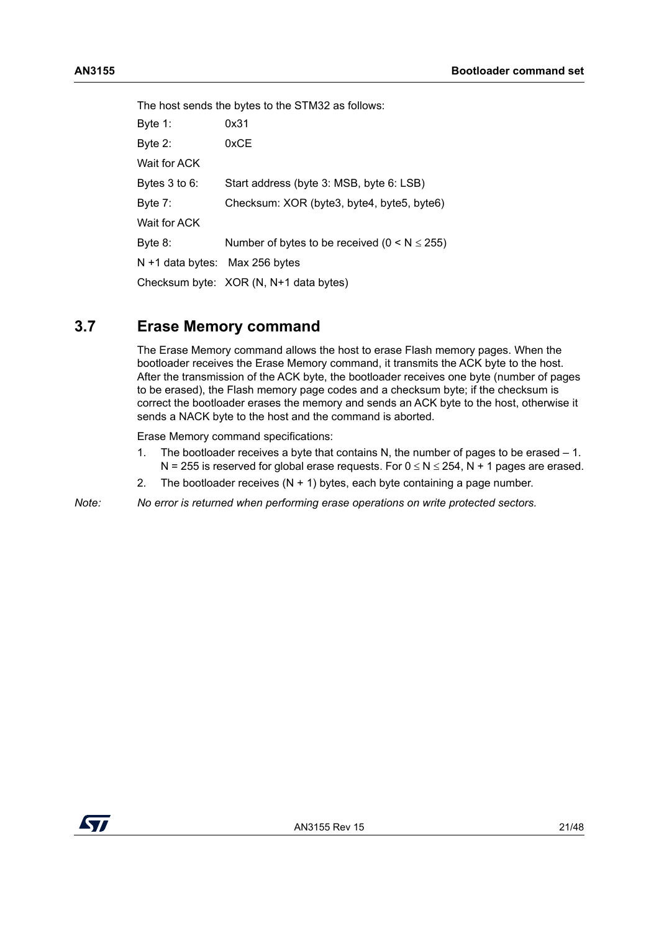The host sends the bytes to the STM32 as follows: Byte 1: 0x31 Byte 2: 0xCE Wait for ACK Bytes 3 to 6: Start address (byte 3: MSB, byte 6: LSB) Byte 7: Checksum: XOR (byte3, byte4, byte5, byte6) Wait for ACK Byte 8: Number of bytes to be received  $(0 < N \le 255)$ N +1 data bytes: Max 256 bytes Checksum byte: XOR (N, N+1 data bytes)

#### <span id="page-20-0"></span>**3.7 Erase Memory command**

The Erase Memory command allows the host to erase Flash memory pages. When the bootloader receives the Erase Memory command, it transmits the ACK byte to the host. After the transmission of the ACK byte, the bootloader receives one byte (number of pages to be erased), the Flash memory page codes and a checksum byte; if the checksum is correct the bootloader erases the memory and sends an ACK byte to the host, otherwise it sends a NACK byte to the host and the command is aborted.

Erase Memory command specifications:

- 1. The bootloader receives a byte that contains N, the number of pages to be erased 1. N = 255 is reserved for global erase requests. For  $0 \le N \le 254$ , N + 1 pages are erased.
- 2. The bootloader receives  $(N + 1)$  bytes, each byte containing a page number.
- *Note: No error is returned when performing erase operations on write protected sectors.*

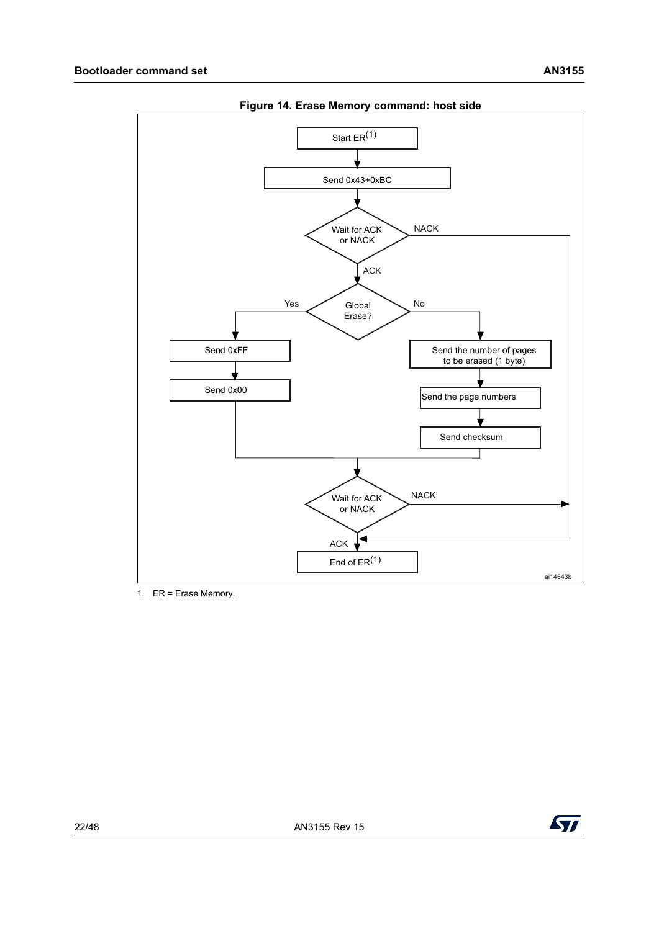<span id="page-21-0"></span>

**Figure 14. Erase Memory command: host side**

1. ER = Erase Memory.

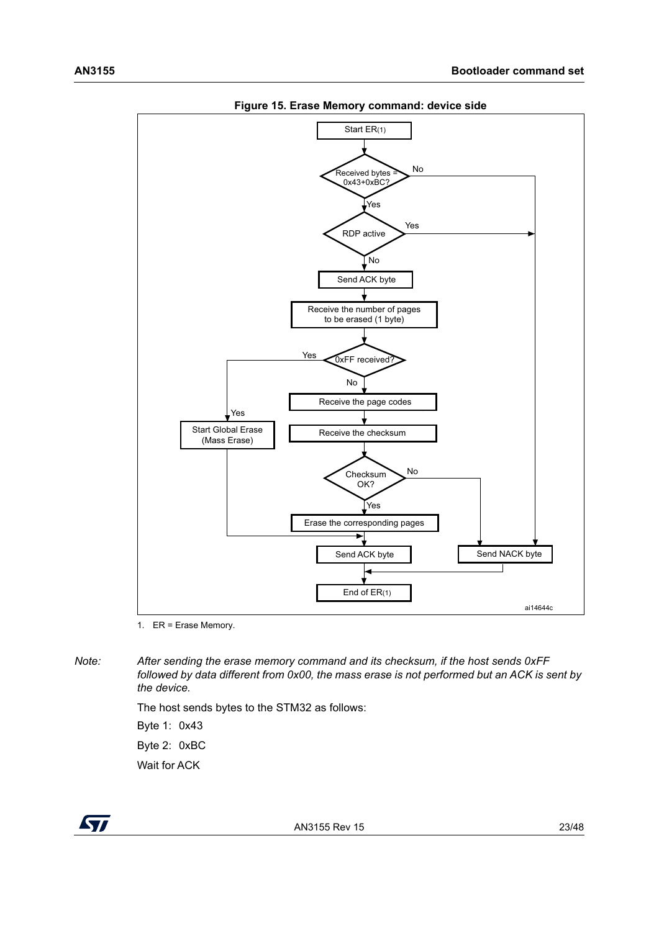<span id="page-22-0"></span>

**Figure 15. Erase Memory command: device side**

1. ER = Erase Memory.

*Note: After sending the erase memory command and its checksum, if the host sends 0xFF followed by data different from 0x00, the mass erase is not performed but an ACK is sent by the device.*

> The host sends bytes to the STM32 as follows: Byte 1: 0x43 Byte 2: 0xBC Wait for ACK

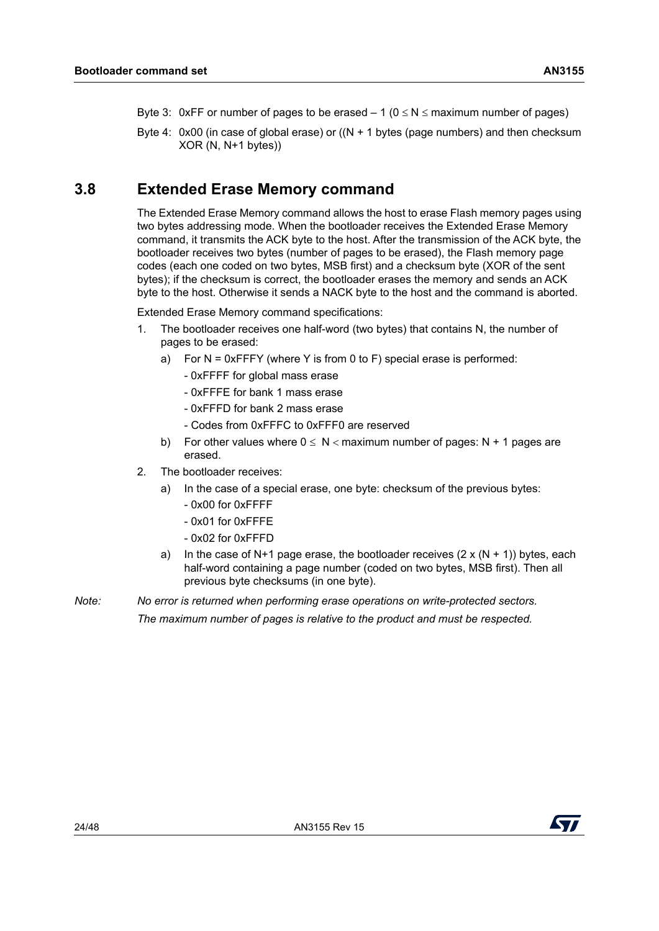- Byte 3: 0xFF or number of pages to be erased  $-1$  ( $0 \le N \le$  maximum number of pages)
- Byte 4:  $0x00$  (in case of global erase) or  $((N + 1)$  bytes (page numbers) and then checksum XOR (N, N+1 bytes))

### <span id="page-23-0"></span>**3.8 Extended Erase Memory command**

The Extended Erase Memory command allows the host to erase Flash memory pages using two bytes addressing mode. When the bootloader receives the Extended Erase Memory command, it transmits the ACK byte to the host. After the transmission of the ACK byte, the bootloader receives two bytes (number of pages to be erased), the Flash memory page codes (each one coded on two bytes, MSB first) and a checksum byte (XOR of the sent bytes); if the checksum is correct, the bootloader erases the memory and sends an ACK byte to the host. Otherwise it sends a NACK byte to the host and the command is aborted.

Extended Erase Memory command specifications:

- 1. The bootloader receives one half-word (two bytes) that contains N, the number of pages to be erased:
	- a) For N = 0xFFFY (where Y is from 0 to F) special erase is performed:
		- 0xFFFF for global mass erase
		- 0xFFFE for bank 1 mass erase
		- 0xFFFD for bank 2 mass erase
		- Codes from 0xFFFC to 0xFFF0 are reserved
	- b) For other values where  $0 \le N <$  maximum number of pages: N + 1 pages are erased.
- 2. The bootloader receives:
	- a) In the case of a special erase, one byte: checksum of the previous bytes:
		- 0x00 for 0xFFFF
		- 0x01 for 0xFFFE
		- 0x02 for 0xFFFD
	- a) In the case of N+1 page erase, the bootloader receives  $(2 \times (N + 1))$  bytes, each half-word containing a page number (coded on two bytes, MSB first). Then all previous byte checksums (in one byte).

*Note: No error is returned when performing erase operations on write-protected sectors. The maximum number of pages is relative to the product and must be respected.*

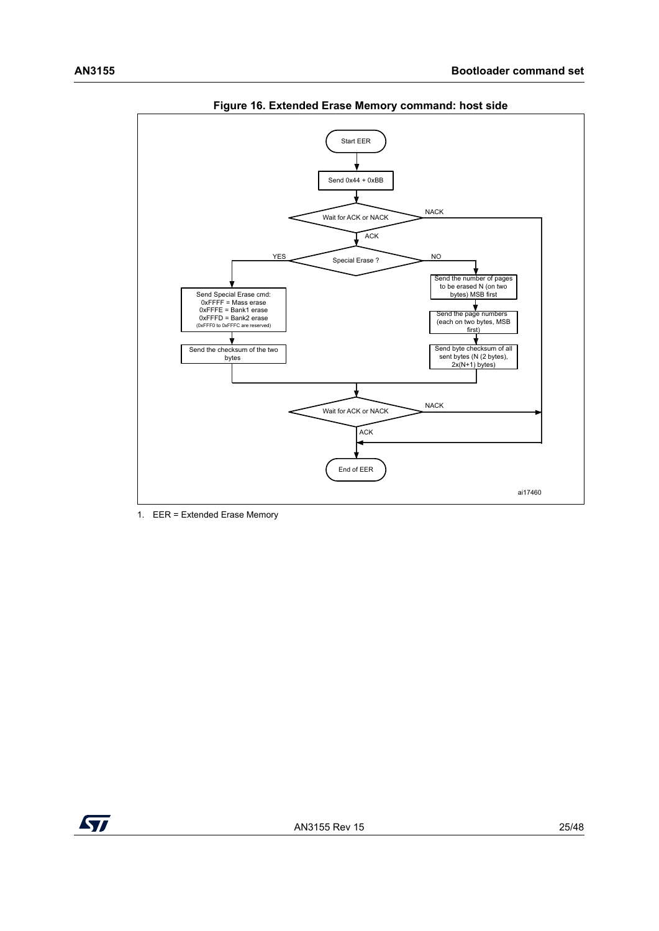<span id="page-24-0"></span>

**Figure 16. Extended Erase Memory command: host side**

1. EER = Extended Erase Memory

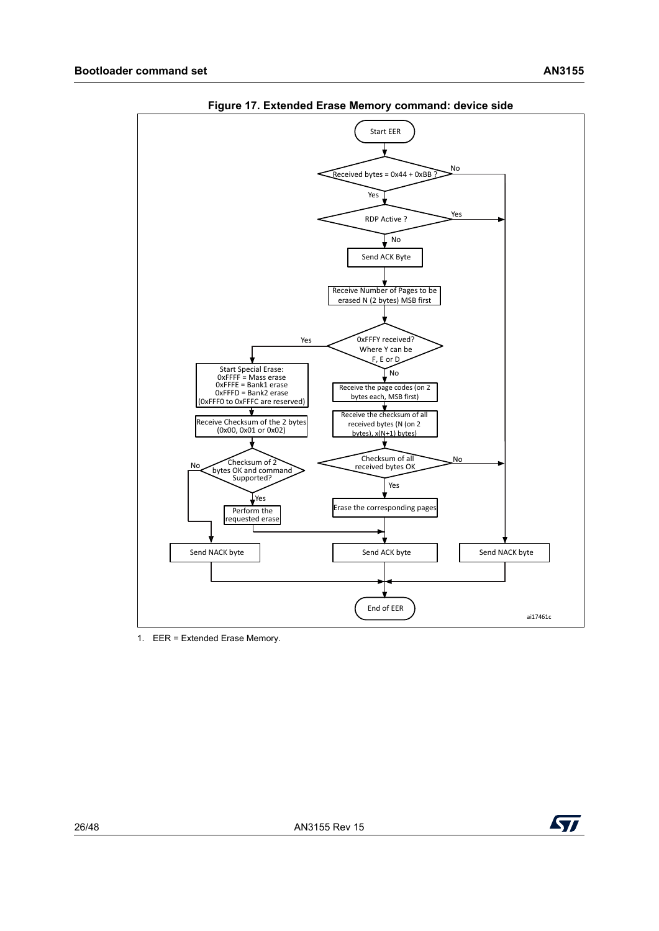<span id="page-25-0"></span>

**Figure 17. Extended Erase Memory command: device side**

1. EER = Extended Erase Memory.

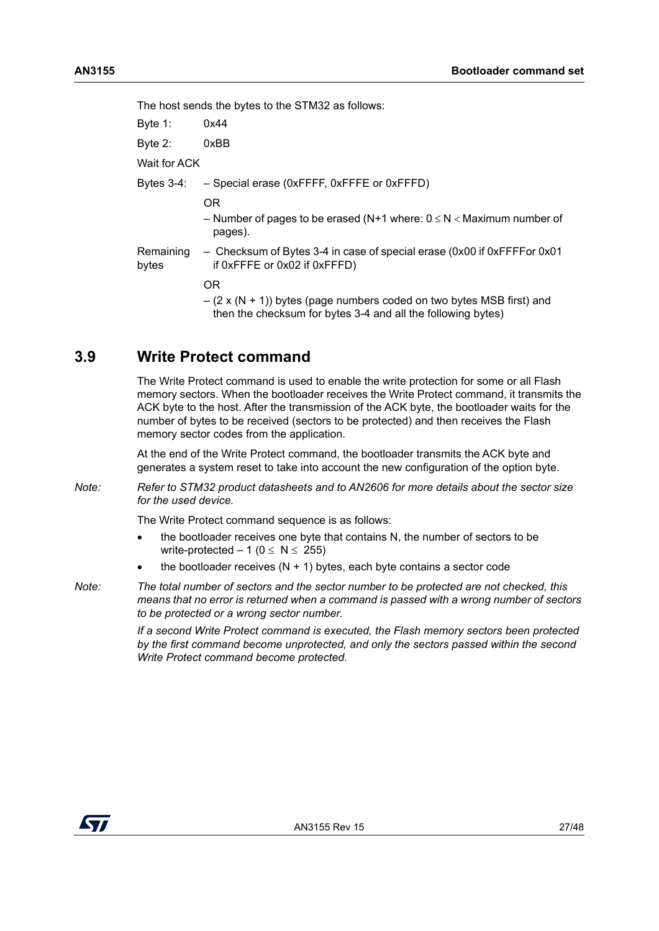The host sends the bytes to the STM32 as follows:

Byte 1: 0x44

Byte 2: 0xBB

Wait for ACK

Bytes 3-4: – Special erase (0xFFFF, 0xFFFE or 0xFFFD)

OR

- Number of pages to be erased (N+1 where:  $0 \le N <$  Maximum number of pages).
- Remaining bytes – Checksum of Bytes 3-4 in case of special erase (0x00 if 0xFFFFor 0x01 if 0xFFFE or 0x02 if 0xFFFD)

OR

 $-$  (2 x (N + 1)) bytes (page numbers coded on two bytes MSB first) and then the checksum for bytes 3-4 and all the following bytes)

### <span id="page-26-0"></span>**3.9 Write Protect command**

The Write Protect command is used to enable the write protection for some or all Flash memory sectors. When the bootloader receives the Write Protect command, it transmits the ACK byte to the host. After the transmission of the ACK byte, the bootloader waits for the number of bytes to be received (sectors to be protected) and then receives the Flash memory sector codes from the application.

At the end of the Write Protect command, the bootloader transmits the ACK byte and generates a system reset to take into account the new configuration of the option byte.

*Note: Refer to STM32 product datasheets and to AN2606 for more details about the sector size for the used device.*

The Write Protect command sequence is as follows:

- the bootloader receives one byte that contains N, the number of sectors to be write-protected  $-1$  ( $0 \le N \le 255$ )
- the bootloader receives  $(N + 1)$  bytes, each byte contains a sector code
- *Note: The total number of sectors and the sector number to be protected are not checked, this means that no error is returned when a command is passed with a wrong number of sectors to be protected or a wrong sector number.*

*If a second Write Protect command is executed, the Flash memory sectors been protected by the first command become unprotected, and only the sectors passed within the second Write Protect command become protected.*

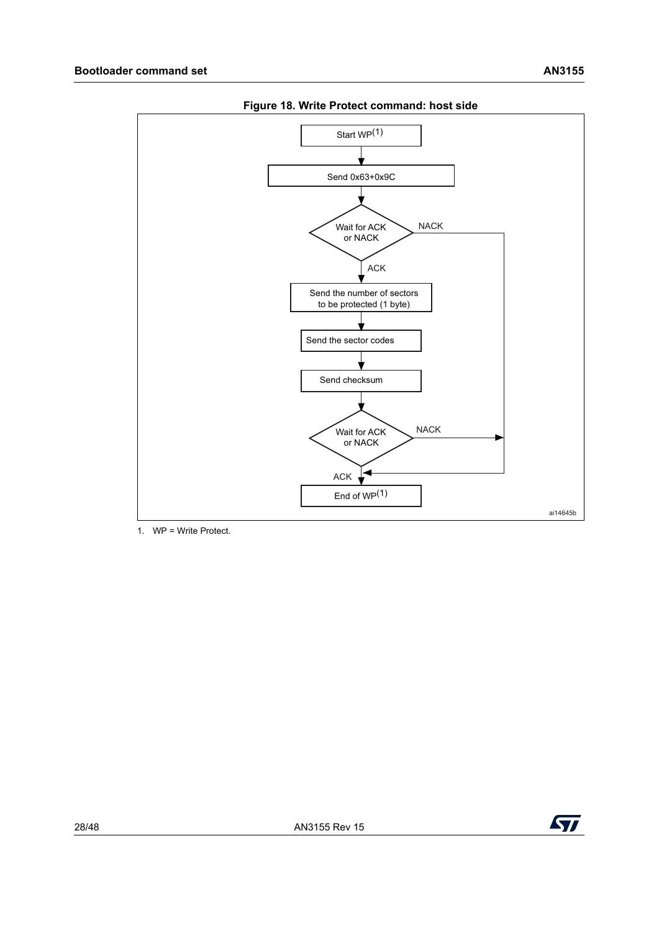<span id="page-27-0"></span>

**Figure 18. Write Protect command: host side**

1. WP = Write Protect.

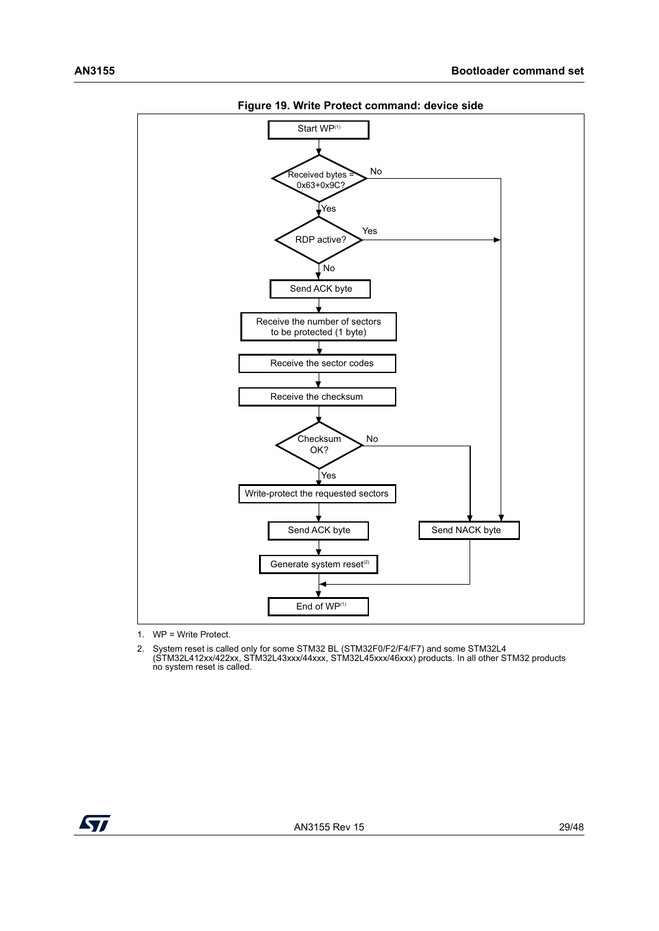<span id="page-28-0"></span>

**Figure 19. Write Protect command: device side**

1. WP = Write Protect.

2. System reset is called only for some STM32 BL (STM32F0/F2/F4/F7) and some STM32L4 (STM32L412xx/422xx, STM32L43xxx/44xxx, STM32L45xxx/46xxx) products. In all other STM32 products no system reset is called.

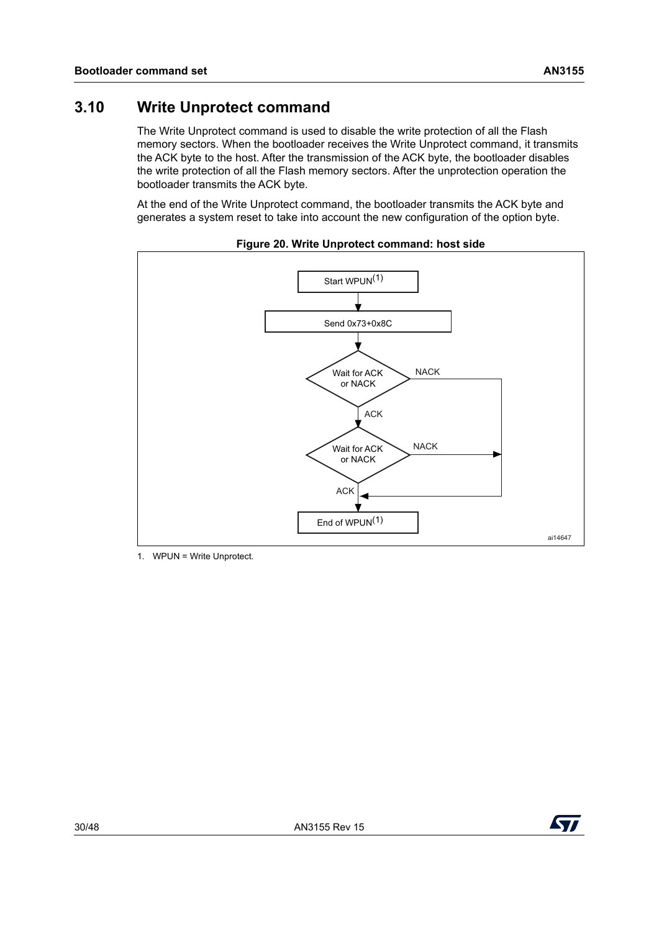<span id="page-29-0"></span>The Write Unprotect command is used to disable the write protection of all the Flash memory sectors. When the bootloader receives the Write Unprotect command, it transmits the ACK byte to the host. After the transmission of the ACK byte, the bootloader disables the write protection of all the Flash memory sectors. After the unprotection operation the bootloader transmits the ACK byte.

At the end of the Write Unprotect command, the bootloader transmits the ACK byte and generates a system reset to take into account the new configuration of the option byte.

<span id="page-29-1"></span>

**Figure 20. Write Unprotect command: host side**

1. WPUN = Write Unprotect.

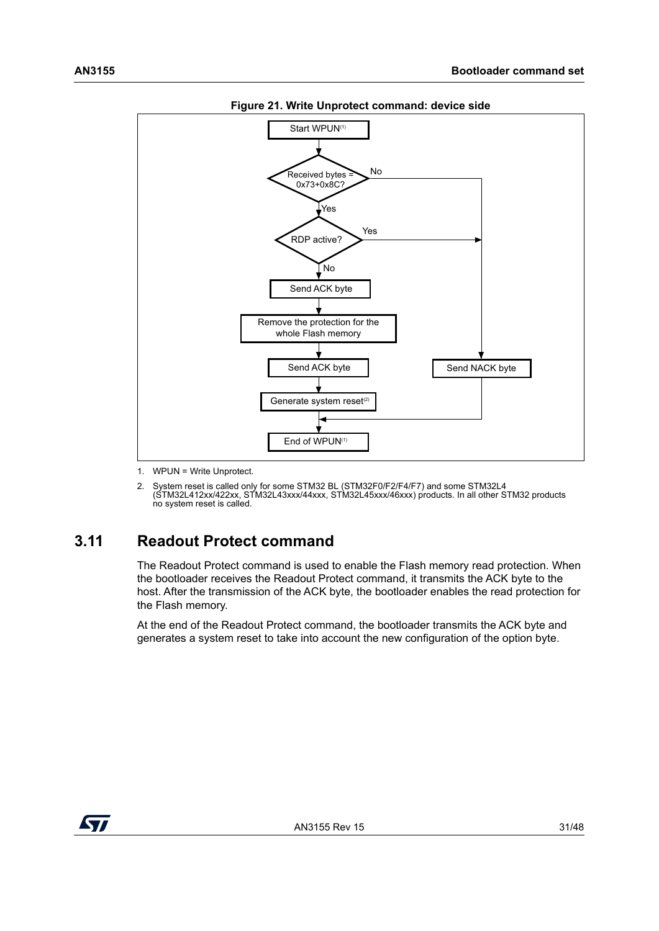<span id="page-30-1"></span>



1. WPUN = Write Unprotect.

2. System reset is called only for some STM32 BL (STM32F0/F2/F4/F7) and some STM32L4 (STM32L412xx/422xx, STM32L43xxx/44xxx, STM32L45xxx/46xxx) products. In all other STM32 products no system reset is called.

### <span id="page-30-0"></span>**3.11 Readout Protect command**

The Readout Protect command is used to enable the Flash memory read protection. When the bootloader receives the Readout Protect command, it transmits the ACK byte to the host. After the transmission of the ACK byte, the bootloader enables the read protection for the Flash memory.

At the end of the Readout Protect command, the bootloader transmits the ACK byte and generates a system reset to take into account the new configuration of the option byte.

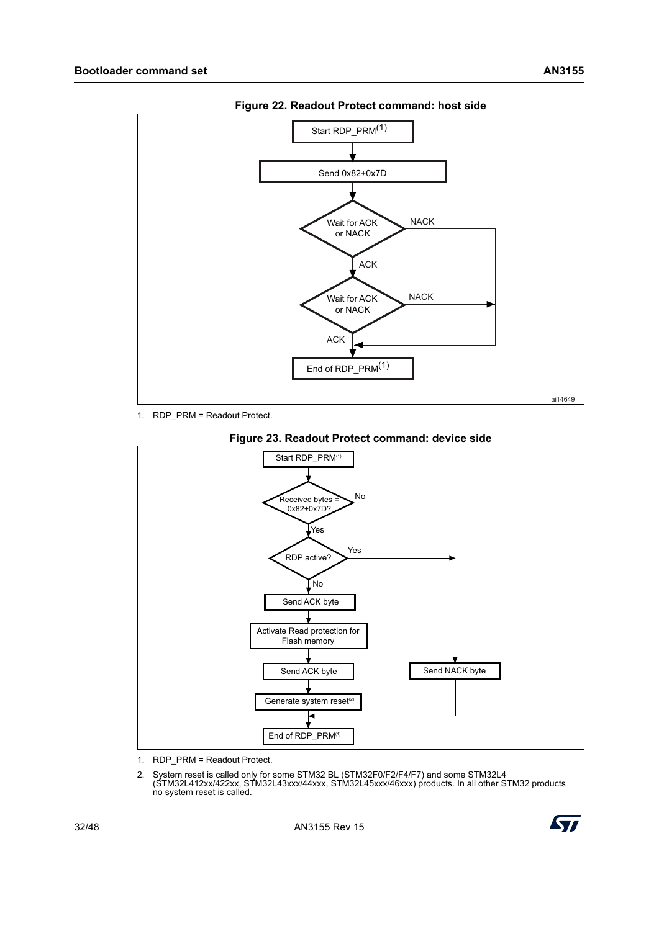<span id="page-31-0"></span>

**Figure 22. Readout Protect command: host side**

1. RDP\_PRM = Readout Protect.

<span id="page-31-1"></span>

#### **Figure 23. Readout Protect command: device side**

- 1. RDP\_PRM = Readout Protect.
- 2. System reset is called only for some STM32 BL (STM32F0/F2/F4/F7) and some STM32L4 (STM32L412xx/422xx, STM32L43xxx/44xxx, STM32L45xxx/46xxx) products. In all other STM32 products no system reset is called.

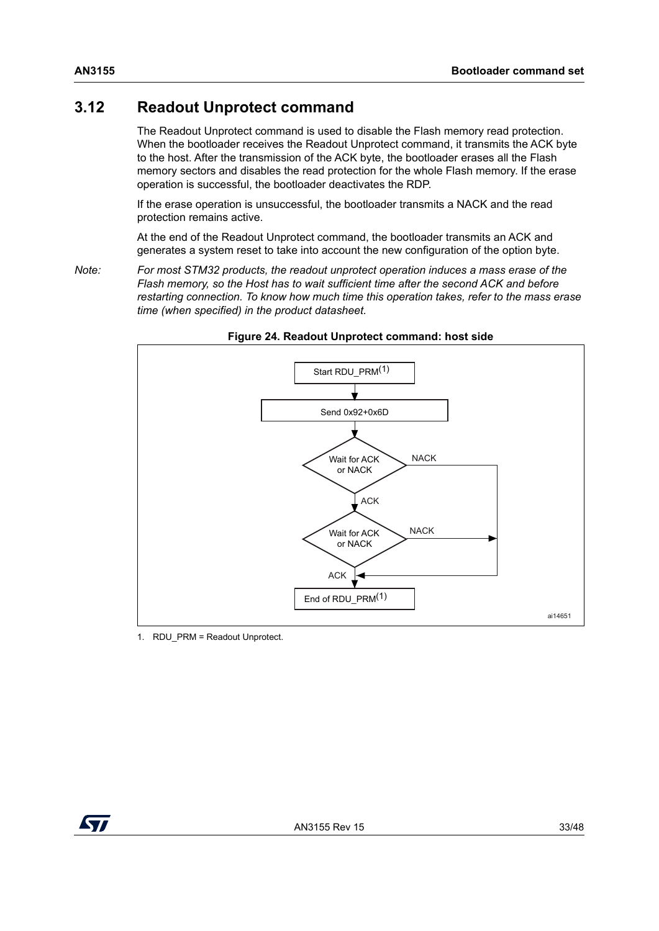### <span id="page-32-0"></span>**3.12 Readout Unprotect command**

The Readout Unprotect command is used to disable the Flash memory read protection. When the bootloader receives the Readout Unprotect command, it transmits the ACK byte to the host. After the transmission of the ACK byte, the bootloader erases all the Flash memory sectors and disables the read protection for the whole Flash memory. If the erase operation is successful, the bootloader deactivates the RDP.

If the erase operation is unsuccessful, the bootloader transmits a NACK and the read protection remains active.

At the end of the Readout Unprotect command, the bootloader transmits an ACK and generates a system reset to take into account the new configuration of the option byte.

<span id="page-32-2"></span>*Note: For most STM32 products, the readout unprotect operation induces a mass erase of the Flash memory, so the Host has to wait sufficient time after the second ACK and before restarting connection. To know how much time this operation takes, refer to the mass erase time (when specified) in the product datasheet.* 

<span id="page-32-1"></span>

#### **Figure 24. Readout Unprotect command: host side**

1. RDU\_PRM = Readout Unprotect.

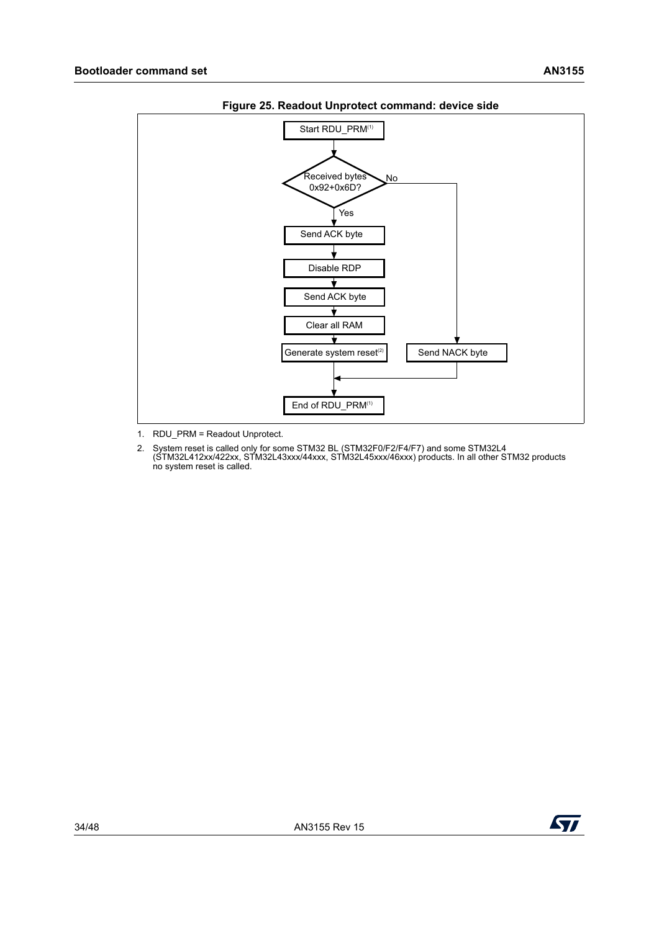<span id="page-33-0"></span>

**Figure 25. Readout Unprotect command: device side**

1. RDU\_PRM = Readout Unprotect.

2. System reset is called only for some STM32 BL (STM32F0/F2/F4/F7) and some STM32L4 (STM32L412xx/422xx, STM32L43xxx/44xxx, STM32L45xxx/46xxx) products. In all other STM32 products no system reset is called.

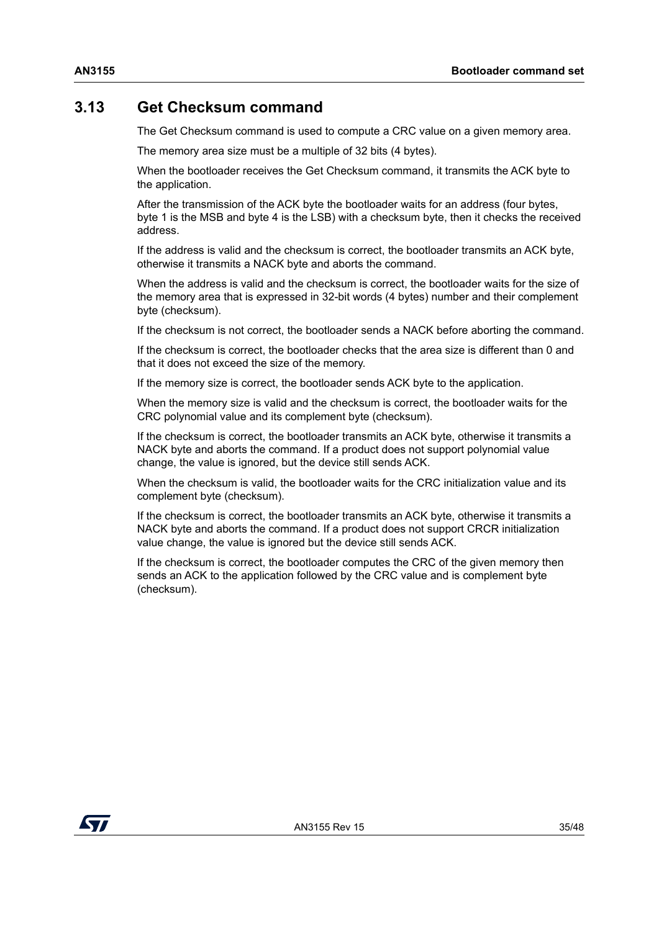#### <span id="page-34-0"></span>**3.13 Get Checksum command**

The Get Checksum command is used to compute a CRC value on a given memory area.

The memory area size must be a multiple of 32 bits (4 bytes).

When the bootloader receives the Get Checksum command, it transmits the ACK byte to the application.

After the transmission of the ACK byte the bootloader waits for an address (four bytes, byte 1 is the MSB and byte 4 is the LSB) with a checksum byte, then it checks the received address.

If the address is valid and the checksum is correct, the bootloader transmits an ACK byte, otherwise it transmits a NACK byte and aborts the command.

When the address is valid and the checksum is correct, the bootloader waits for the size of the memory area that is expressed in 32-bit words (4 bytes) number and their complement byte (checksum).

If the checksum is not correct, the bootloader sends a NACK before aborting the command.

If the checksum is correct, the bootloader checks that the area size is different than 0 and that it does not exceed the size of the memory.

If the memory size is correct, the bootloader sends ACK byte to the application.

When the memory size is valid and the checksum is correct, the bootloader waits for the CRC polynomial value and its complement byte (checksum).

If the checksum is correct, the bootloader transmits an ACK byte, otherwise it transmits a NACK byte and aborts the command. If a product does not support polynomial value change, the value is ignored, but the device still sends ACK.

When the checksum is valid, the bootloader waits for the CRC initialization value and its complement byte (checksum).

If the checksum is correct, the bootloader transmits an ACK byte, otherwise it transmits a NACK byte and aborts the command. If a product does not support CRCR initialization value change, the value is ignored but the device still sends ACK.

If the checksum is correct, the bootloader computes the CRC of the given memory then sends an ACK to the application followed by the CRC value and is complement byte (checksum).

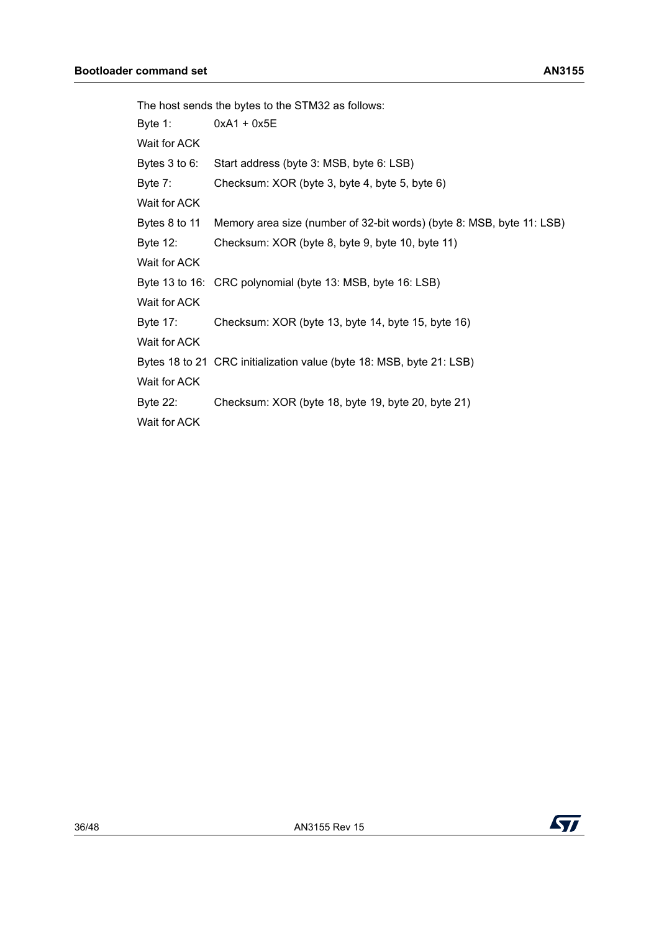|               | The host sends the bytes to the STM32 as follows:                     |
|---------------|-----------------------------------------------------------------------|
| Byte 1:       | $0xA1 + 0x5E$                                                         |
| Wait for ACK  |                                                                       |
| Bytes 3 to 6: | Start address (byte 3: MSB, byte 6: LSB)                              |
| Byte 7:       | Checksum: XOR (byte 3, byte 4, byte 5, byte 6)                        |
| Wait for ACK  |                                                                       |
| Bytes 8 to 11 | Memory area size (number of 32-bit words) (byte 8: MSB, byte 11: LSB) |
| Byte 12:      | Checksum: XOR (byte 8, byte 9, byte 10, byte 11)                      |
| Wait for ACK  |                                                                       |
|               | Byte 13 to 16: CRC polynomial (byte 13: MSB, byte 16: LSB)            |
| Wait for ACK  |                                                                       |
| Byte 17:      | Checksum: XOR (byte 13, byte 14, byte 15, byte 16)                    |
| Wait for ACK  |                                                                       |
|               | Bytes 18 to 21 CRC initialization value (byte 18: MSB, byte 21: LSB)  |
| Wait for ACK  |                                                                       |
| Byte 22:      | Checksum: XOR (byte 18, byte 19, byte 20, byte 21)                    |
| Wait for ACK  |                                                                       |

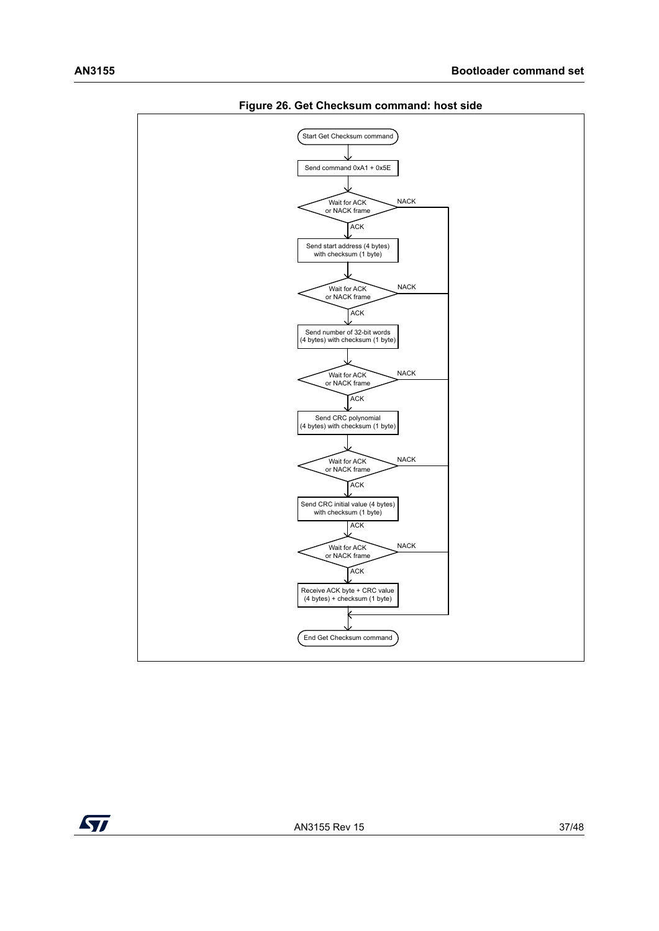<span id="page-36-0"></span>

**Figure 26. Get Checksum command: host side**

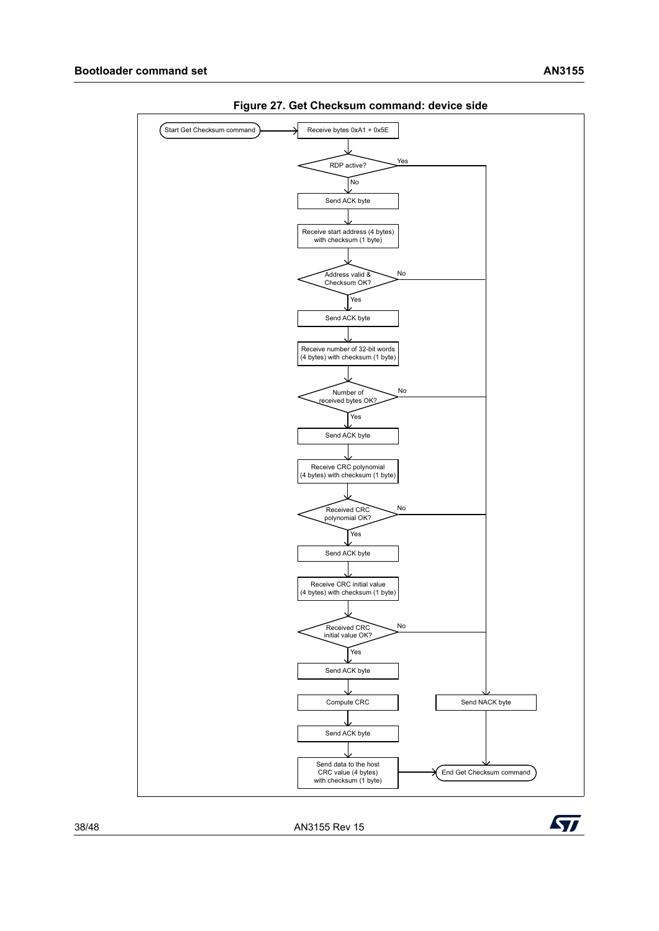<span id="page-37-0"></span>

**Figure 27. Get Checksum command: device side**

38/48 AN3155 Rev 15

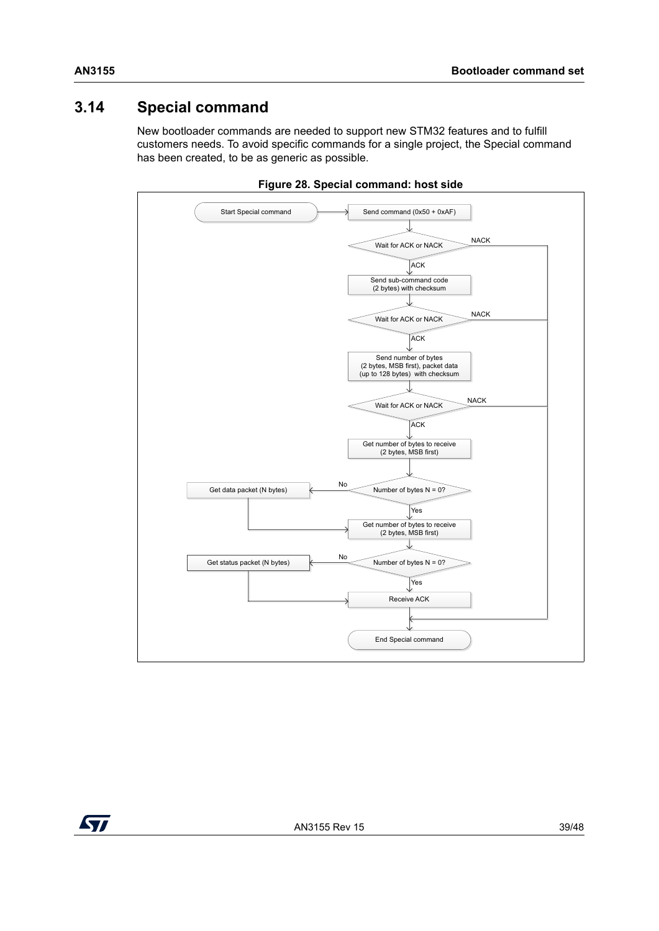## <span id="page-38-0"></span>**3.14 Special command**

New bootloader commands are needed to support new STM32 features and to fulfill customers needs. To avoid specific commands for a single project, the Special command has been created, to be as generic as possible.

<span id="page-38-1"></span>

**Figure 28. Special command: host side**

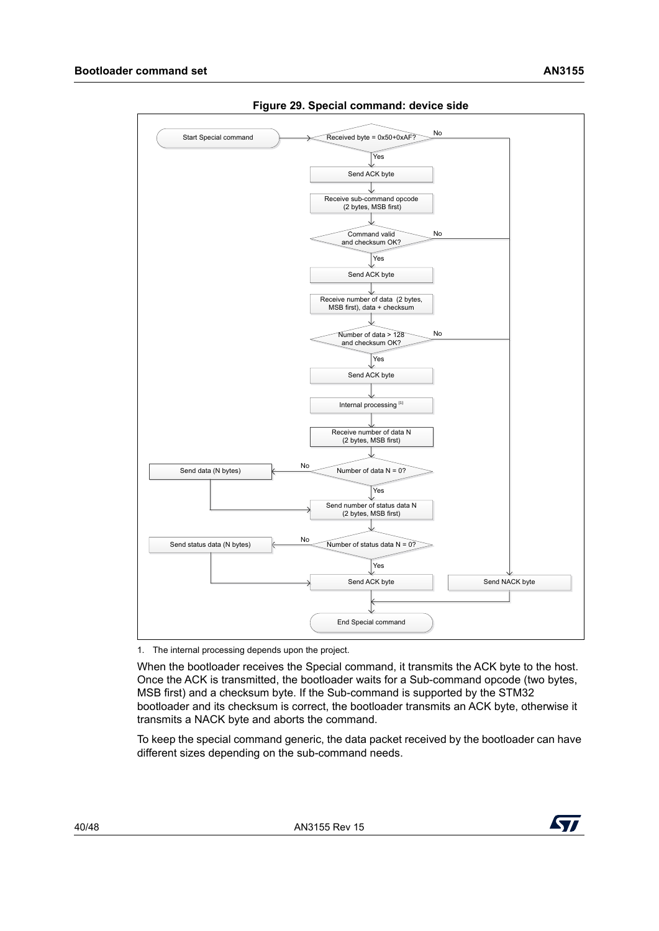<span id="page-39-0"></span>

**Figure 29. Special command: device side**

1. The internal processing depends upon the project.

When the bootloader receives the Special command, it transmits the ACK byte to the host. Once the ACK is transmitted, the bootloader waits for a Sub-command opcode (two bytes, MSB first) and a checksum byte. If the Sub-command is supported by the STM32 bootloader and its checksum is correct, the bootloader transmits an ACK byte, otherwise it transmits a NACK byte and aborts the command.

To keep the special command generic, the data packet received by the bootloader can have different sizes depending on the sub-command needs.

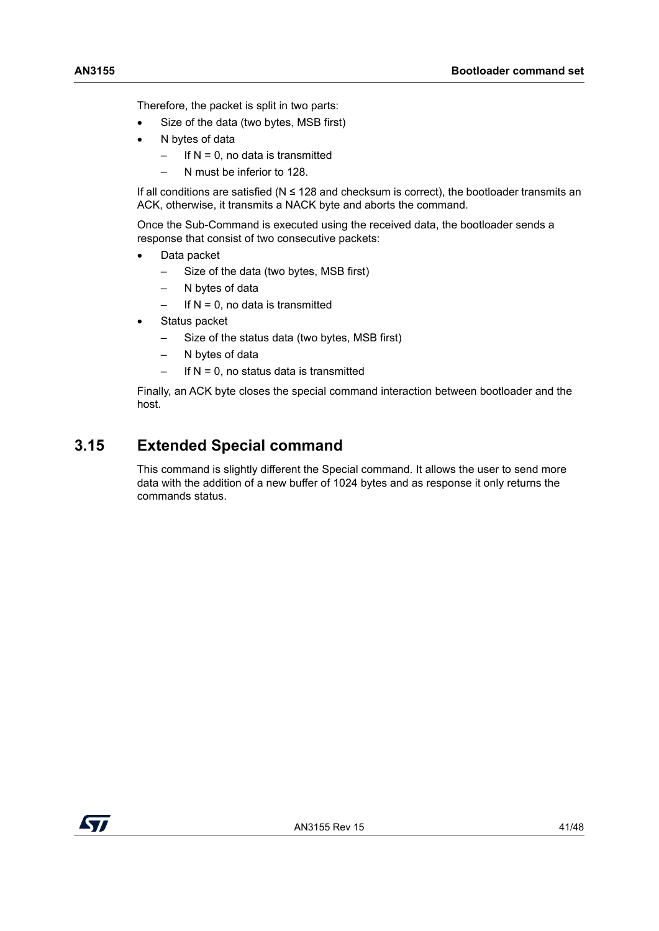Therefore, the packet is split in two parts:

- Size of the data (two bytes, MSB first)
- N bytes of data
	- $-$  If N = 0, no data is transmitted
	- N must be inferior to 128.

If all conditions are satisfied ( $N \le 128$  and checksum is correct), the bootloader transmits an ACK, otherwise, it transmits a NACK byte and aborts the command.

Once the Sub-Command is executed using the received data, the bootloader sends a response that consist of two consecutive packets:

- Data packet
	- Size of the data (two bytes, MSB first)
	- N bytes of data
	- If  $N = 0$ , no data is transmitted
- Status packet
	- Size of the status data (two bytes, MSB first)
	- N bytes of data
	- $-$  If N = 0, no status data is transmitted

Finally, an ACK byte closes the special command interaction between bootloader and the host.

## <span id="page-40-0"></span>**3.15 Extended Special command**

This command is slightly different the Special command. It allows the user to send more data with the addition of a new buffer of 1024 bytes and as response it only returns the commands status.

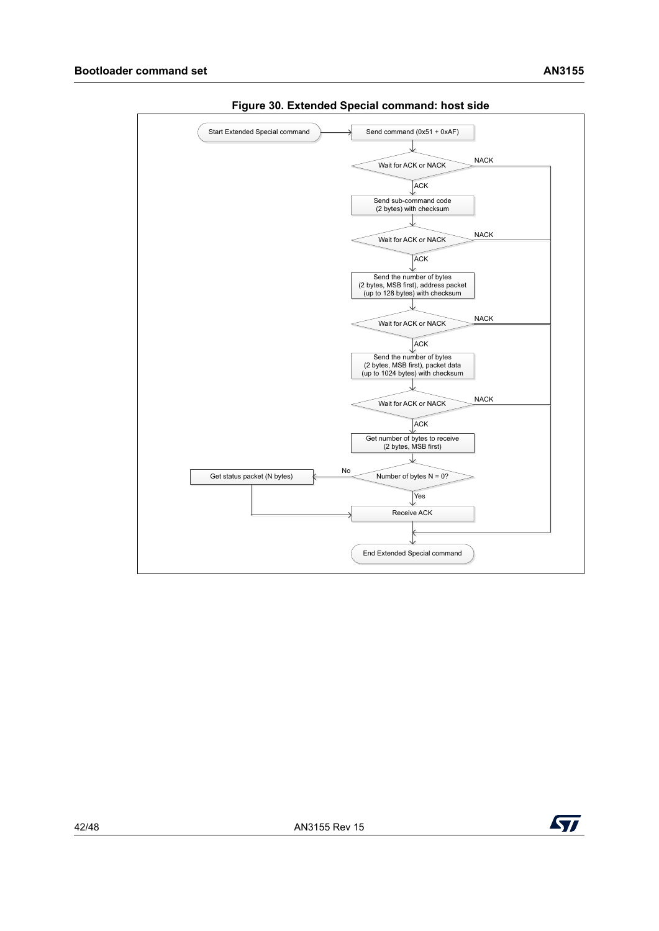<span id="page-41-0"></span>

**Figure 30. Extended Special command: host side**

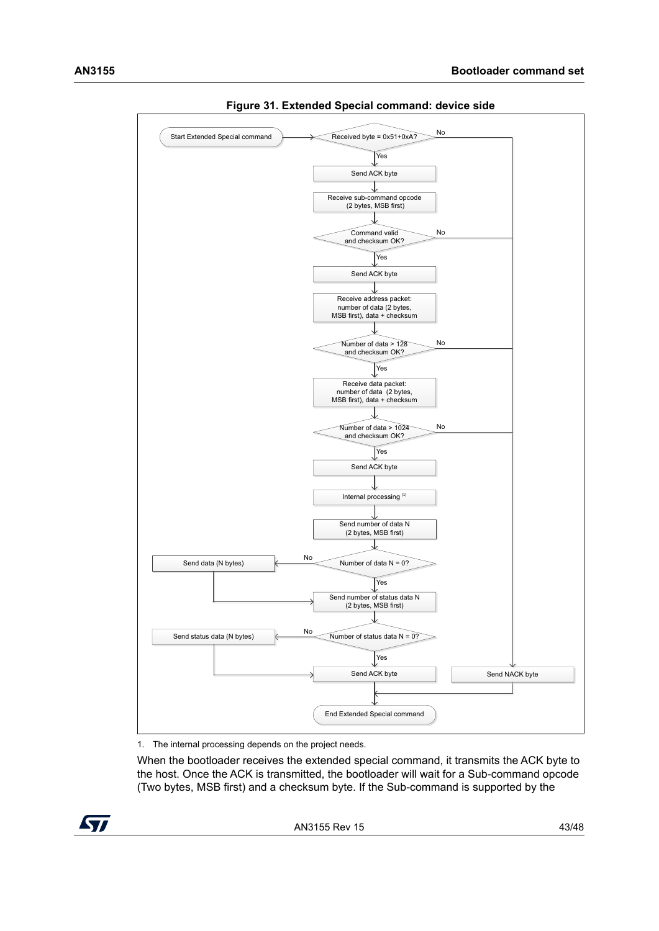<span id="page-42-0"></span>

**Figure 31. Extended Special command: device side**

1. The internal processing depends on the project needs.

When the bootloader receives the extended special command, it transmits the ACK byte to the host. Once the ACK is transmitted, the bootloader will wait for a Sub-command opcode (Two bytes, MSB first) and a checksum byte. If the Sub-command is supported by the

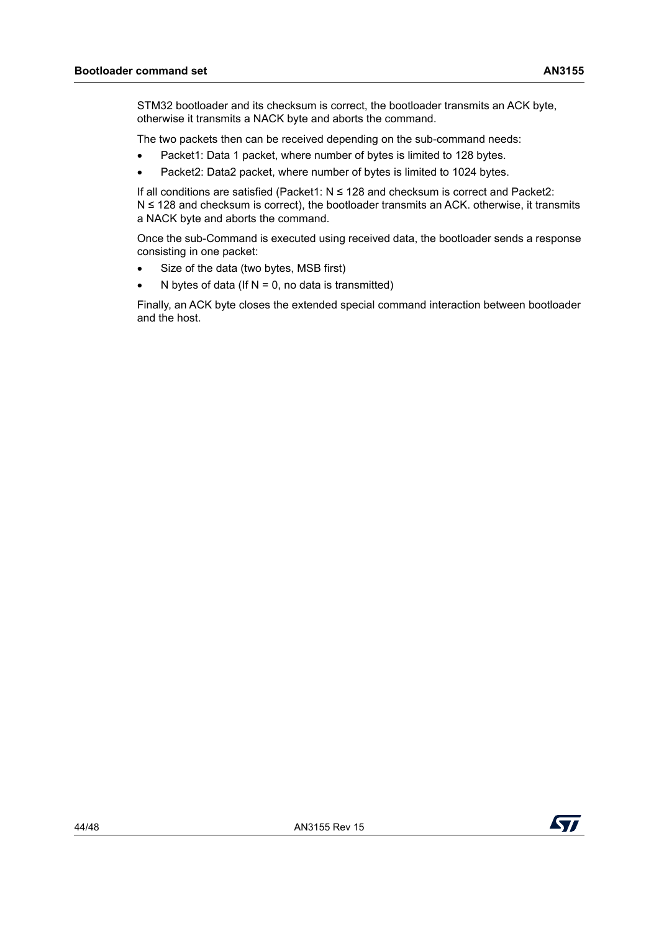STM32 bootloader and its checksum is correct, the bootloader transmits an ACK byte, otherwise it transmits a NACK byte and aborts the command.

The two packets then can be received depending on the sub-command needs:

- Packet1: Data 1 packet, where number of bytes is limited to 128 bytes.
- Packet2: Data2 packet, where number of bytes is limited to 1024 bytes.

If all conditions are satisfied (Packet1: N ≤ 128 and checksum is correct and Packet2: N ≤ 128 and checksum is correct), the bootloader transmits an ACK. otherwise, it transmits a NACK byte and aborts the command.

Once the sub-Command is executed using received data, the bootloader sends a response consisting in one packet:

- Size of the data (two bytes, MSB first)
- N bytes of data (If  $N = 0$ , no data is transmitted)

Finally, an ACK byte closes the extended special command interaction between bootloader and the host.

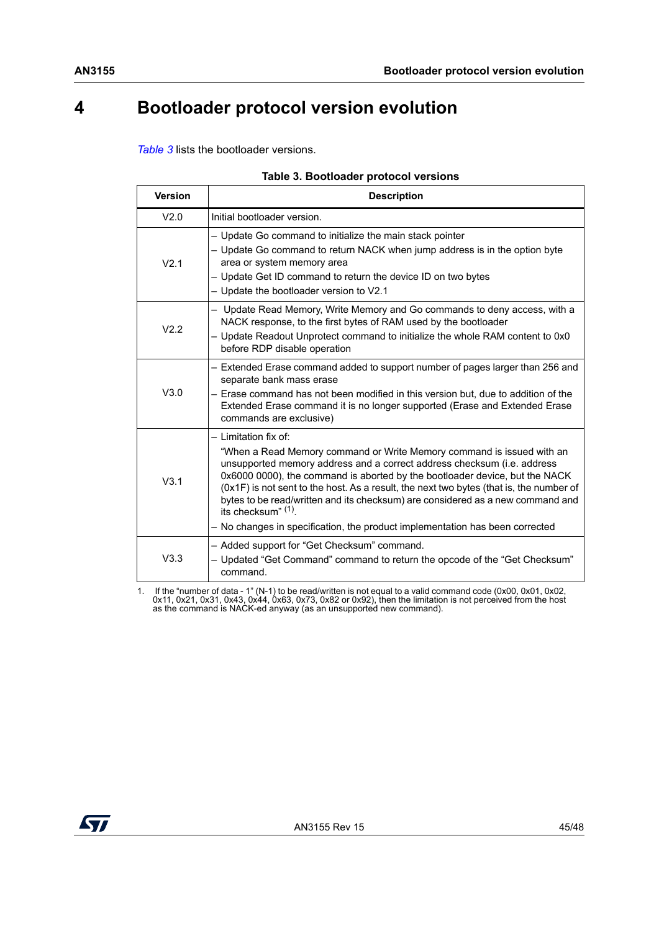# <span id="page-44-0"></span>**4 Bootloader protocol version evolution**

*[Table](#page-44-1) 3* lists the bootloader versions.

<span id="page-44-1"></span>

| <b>Version</b> | <b>Description</b>                                                                                                                                                                                                                                                                                                                                                                                                                                                                                                                            |
|----------------|-----------------------------------------------------------------------------------------------------------------------------------------------------------------------------------------------------------------------------------------------------------------------------------------------------------------------------------------------------------------------------------------------------------------------------------------------------------------------------------------------------------------------------------------------|
| V2.0           | Initial bootloader version.                                                                                                                                                                                                                                                                                                                                                                                                                                                                                                                   |
| V2.1           | - Update Go command to initialize the main stack pointer<br>- Update Go command to return NACK when jump address is in the option byte<br>area or system memory area<br>- Update Get ID command to return the device ID on two bytes<br>- Update the bootloader version to V2.1                                                                                                                                                                                                                                                               |
| V2.2           | - Update Read Memory, Write Memory and Go commands to deny access, with a<br>NACK response, to the first bytes of RAM used by the bootloader<br>- Update Readout Unprotect command to initialize the whole RAM content to 0x0<br>before RDP disable operation                                                                                                                                                                                                                                                                                 |
| V3.0           | - Extended Erase command added to support number of pages larger than 256 and<br>separate bank mass erase<br>- Erase command has not been modified in this version but, due to addition of the<br>Extended Erase command it is no longer supported (Erase and Extended Erase<br>commands are exclusive)                                                                                                                                                                                                                                       |
| V3.1           | - Limitation fix of:<br>"When a Read Memory command or Write Memory command is issued with an<br>unsupported memory address and a correct address checksum (i.e. address<br>0x6000 0000), the command is aborted by the bootloader device, but the NACK<br>(0x1F) is not sent to the host. As a result, the next two bytes (that is, the number of<br>bytes to be read/written and its checksum) are considered as a new command and<br>its checksum" $(1)$ .<br>- No changes in specification, the product implementation has been corrected |
| V3.3           | - Added support for "Get Checksum" command.<br>- Updated "Get Command" command to return the opcode of the "Get Checksum"<br>command.                                                                                                                                                                                                                                                                                                                                                                                                         |

1. If the "number of data - 1" (N-1) to be read/written is not equal to a valid command code (0x00, 0x01, 0x02,<br>0x11, 0x21, 0x31, 0x43, 0x44, 0x63, 0x73, 0x82 or 0x92), then the limitation is not perceived from the host as

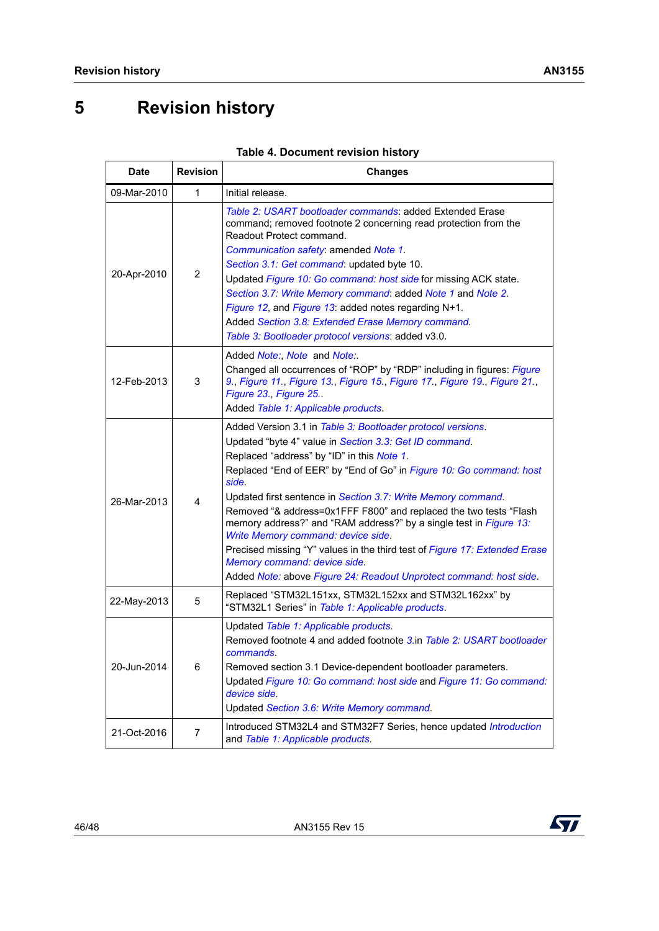# <span id="page-45-0"></span>**5 Revision history**

<span id="page-45-1"></span>

| <b>Date</b> | <b>Revision</b> | <b>Changes</b>                                                                                                                                                                                                                                                                                                                                                                                                                                                                                                                                                                                                                                                                           |
|-------------|-----------------|------------------------------------------------------------------------------------------------------------------------------------------------------------------------------------------------------------------------------------------------------------------------------------------------------------------------------------------------------------------------------------------------------------------------------------------------------------------------------------------------------------------------------------------------------------------------------------------------------------------------------------------------------------------------------------------|
| 09-Mar-2010 | 1               | Initial release.                                                                                                                                                                                                                                                                                                                                                                                                                                                                                                                                                                                                                                                                         |
| 20-Apr-2010 | $\overline{2}$  | Table 2: USART bootloader commands: added Extended Erase<br>command; removed footnote 2 concerning read protection from the<br>Readout Protect command.<br>Communication safety: amended Note 1.<br>Section 3.1: Get command: updated byte 10.<br>Updated Figure 10: Go command: host side for missing ACK state.<br>Section 3.7: Write Memory command: added Note 1 and Note 2.<br>Figure 12, and Figure 13: added notes regarding N+1.<br>Added Section 3.8: Extended Erase Memory command.<br>Table 3: Bootloader protocol versions: added v3.0.                                                                                                                                      |
| 12-Feb-2013 | 3               | Added Note:, Note and Note:<br>Changed all occurrences of "ROP" by "RDP" including in figures: Figure<br>9., Figure 11., Figure 13., Figure 15., Figure 17., Figure 19., Figure 21.,<br>Figure 23., Figure 25<br>Added Table 1: Applicable products.                                                                                                                                                                                                                                                                                                                                                                                                                                     |
| 26-Mar-2013 | 4               | Added Version 3.1 in Table 3: Bootloader protocol versions.<br>Updated "byte 4" value in Section 3.3: Get ID command.<br>Replaced "address" by "ID" in this Note 1.<br>Replaced "End of EER" by "End of Go" in Figure 10: Go command: host<br>side.<br>Updated first sentence in Section 3.7: Write Memory command.<br>Removed "& address=0x1FFF F800" and replaced the two tests "Flash<br>memory address?" and "RAM address?" by a single test in Figure 13:<br>Write Memory command: device side.<br>Precised missing "Y" values in the third test of Figure 17: Extended Erase<br>Memory command: device side.<br>Added Note: above Figure 24: Readout Unprotect command: host side. |
| 22-May-2013 | 5               | Replaced "STM32L151xx, STM32L152xx and STM32L162xx" by<br>"STM32L1 Series" in Table 1: Applicable products.                                                                                                                                                                                                                                                                                                                                                                                                                                                                                                                                                                              |
| 20-Jun-2014 | 6               | Updated Table 1: Applicable products.<br>Removed footnote 4 and added footnote 3.in Table 2: USART bootloader<br>commands.<br>Removed section 3.1 Device-dependent bootloader parameters.<br>Updated Figure 10: Go command: host side and Figure 11: Go command:<br>device side.<br>Updated Section 3.6: Write Memory command.                                                                                                                                                                                                                                                                                                                                                           |
| 21-Oct-2016 | 7               | Introduced STM32L4 and STM32F7 Series, hence updated Introduction<br>and Table 1: Applicable products.                                                                                                                                                                                                                                                                                                                                                                                                                                                                                                                                                                                   |

#### **Table 4. Document revision history**

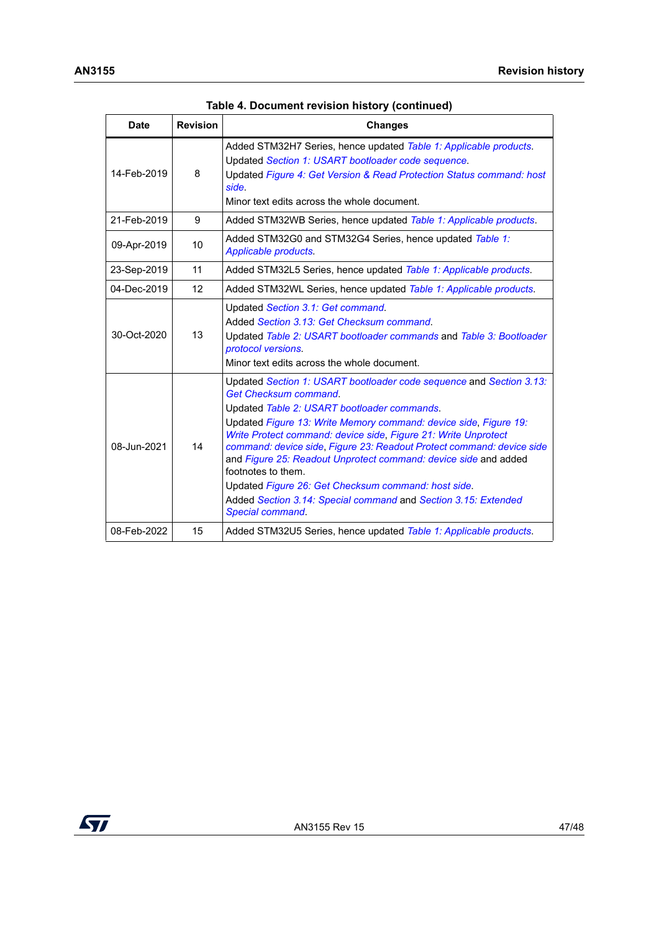| <b>Date</b> | <b>Revision</b> | <b>Changes</b>                                                                                                                                                                                                                                                                                                                                                                                                                                                                                                                                                                                          |
|-------------|-----------------|---------------------------------------------------------------------------------------------------------------------------------------------------------------------------------------------------------------------------------------------------------------------------------------------------------------------------------------------------------------------------------------------------------------------------------------------------------------------------------------------------------------------------------------------------------------------------------------------------------|
| 14-Feb-2019 | 8               | Added STM32H7 Series, hence updated Table 1: Applicable products.<br>Updated Section 1: USART bootloader code sequence.<br>Updated Figure 4: Get Version & Read Protection Status command: host<br>side.<br>Minor text edits across the whole document.                                                                                                                                                                                                                                                                                                                                                 |
| 21-Feb-2019 | 9               | Added STM32WB Series, hence updated Table 1: Applicable products.                                                                                                                                                                                                                                                                                                                                                                                                                                                                                                                                       |
| 09-Apr-2019 | 10              | Added STM32G0 and STM32G4 Series, hence updated Table 1:<br>Applicable products.                                                                                                                                                                                                                                                                                                                                                                                                                                                                                                                        |
| 23-Sep-2019 | 11              | Added STM32L5 Series, hence updated Table 1: Applicable products.                                                                                                                                                                                                                                                                                                                                                                                                                                                                                                                                       |
| 04-Dec-2019 | 12              | Added STM32WL Series, hence updated Table 1: Applicable products.                                                                                                                                                                                                                                                                                                                                                                                                                                                                                                                                       |
| 30-Oct-2020 | 13              | Updated Section 3.1: Get command.<br>Added Section 3.13: Get Checksum command.<br>Updated Table 2: USART bootloader commands and Table 3: Bootloader<br>protocol versions.<br>Minor text edits across the whole document.                                                                                                                                                                                                                                                                                                                                                                               |
| 08-Jun-2021 | 14              | Updated Section 1: USART bootloader code sequence and Section 3.13:<br><b>Get Checksum command.</b><br>Updated Table 2: USART bootloader commands.<br>Updated Figure 13: Write Memory command: device side, Figure 19:<br>Write Protect command: device side, Figure 21: Write Unprotect<br>command: device side, Figure 23: Readout Protect command: device side<br>and Figure 25: Readout Unprotect command: device side and added<br>footnotes to them.<br>Updated Figure 26: Get Checksum command: host side.<br>Added Section 3.14: Special command and Section 3.15: Extended<br>Special command. |
| 08-Feb-2022 | 15              | Added STM32U5 Series, hence updated Table 1: Applicable products.                                                                                                                                                                                                                                                                                                                                                                                                                                                                                                                                       |

**Table 4. Document revision history (continued)**